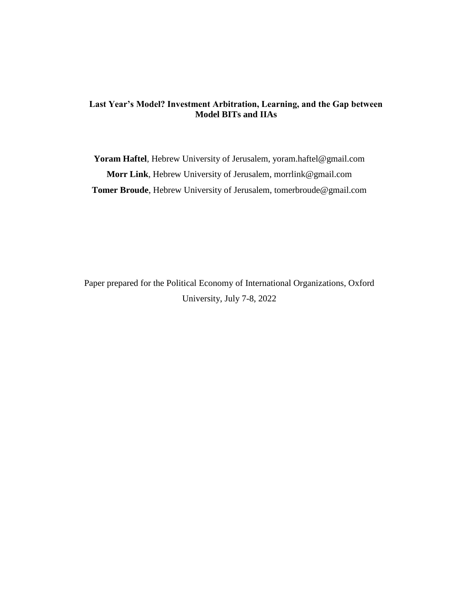# **Last Year's Model? Investment Arbitration, Learning, and the Gap between Model BITs and IIAs**

**Yoram Haftel**, Hebrew University of Jerusalem, yoram.haftel@gmail.com **Morr Link**, Hebrew University of Jerusalem, morrlink@gmail.com **Tomer Broude**, Hebrew University of Jerusalem, tomerbroude@gmail.com

Paper prepared for the Political Economy of International Organizations, Oxford University, July 7-8, 2022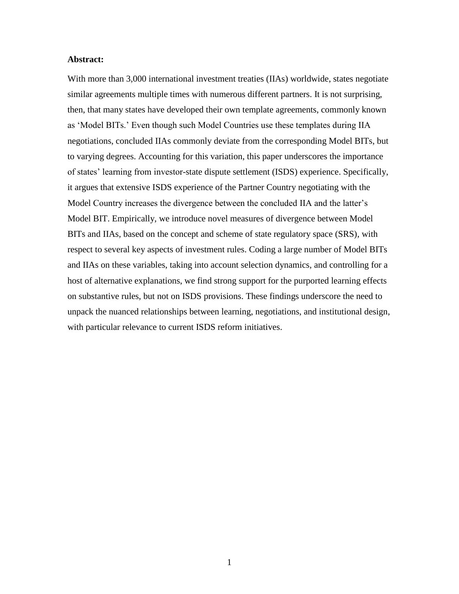# **Abstract:**

With more than 3,000 international investment treaties (IIAs) worldwide, states negotiate similar agreements multiple times with numerous different partners. It is not surprising, then, that many states have developed their own template agreements, commonly known as 'Model BITs.' Even though such Model Countries use these templates during IIA negotiations, concluded IIAs commonly deviate from the corresponding Model BITs, but to varying degrees. Accounting for this variation, this paper underscores the importance of states' learning from investor-state dispute settlement (ISDS) experience. Specifically, it argues that extensive ISDS experience of the Partner Country negotiating with the Model Country increases the divergence between the concluded IIA and the latter's Model BIT. Empirically, we introduce novel measures of divergence between Model BITs and IIAs, based on the concept and scheme of state regulatory space (SRS), with respect to several key aspects of investment rules. Coding a large number of Model BITs and IIAs on these variables, taking into account selection dynamics, and controlling for a host of alternative explanations, we find strong support for the purported learning effects on substantive rules, but not on ISDS provisions. These findings underscore the need to unpack the nuanced relationships between learning, negotiations, and institutional design, with particular relevance to current ISDS reform initiatives.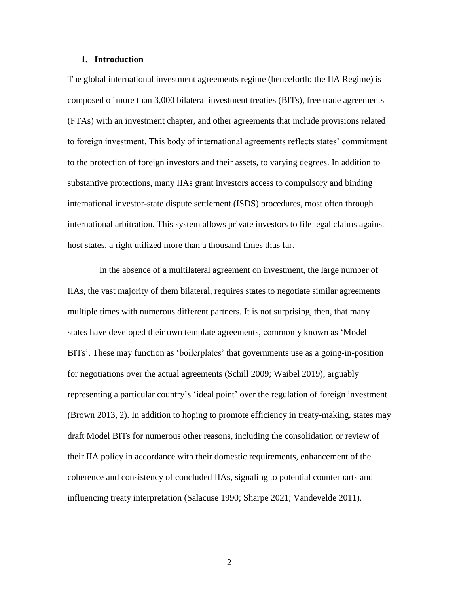## **1. Introduction**

The global international investment agreements regime (henceforth: the IIA Regime) is composed of more than 3,000 bilateral investment treaties (BITs), free trade agreements (FTAs) with an investment chapter, and other agreements that include provisions related to foreign investment. This body of international agreements reflects states' commitment to the protection of foreign investors and their assets, to varying degrees. In addition to substantive protections, many IIAs grant investors access to compulsory and binding international investor-state dispute settlement (ISDS) procedures, most often through international arbitration. This system allows private investors to file legal claims against host states, a right utilized more than a thousand times thus far.

In the absence of a multilateral agreement on investment, the large number of IIAs, the vast majority of them bilateral, requires states to negotiate similar agreements multiple times with numerous different partners. It is not surprising, then, that many states have developed their own template agreements, commonly known as 'Model BITs'. These may function as 'boilerplates' that governments use as a going-in-position for negotiations over the actual agreements (Schill 2009; Waibel 2019), arguably representing a particular country's 'ideal point' over the regulation of foreign investment (Brown 2013, 2). In addition to hoping to promote efficiency in treaty-making, states may draft Model BITs for numerous other reasons, including the consolidation or review of their IIA policy in accordance with their domestic requirements, enhancement of the coherence and consistency of concluded IIAs, signaling to potential counterparts and influencing treaty interpretation (Salacuse 1990; Sharpe 2021; Vandevelde 2011).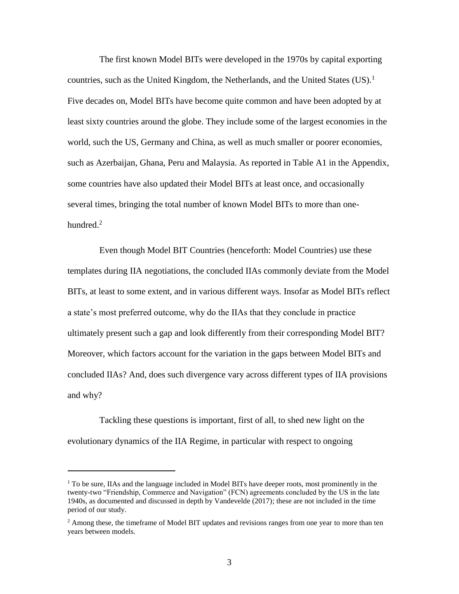The first known Model BITs were developed in the 1970s by capital exporting countries, such as the United Kingdom, the Netherlands, and the United States  $(US)^1$ Five decades on, Model BITs have become quite common and have been adopted by at least sixty countries around the globe. They include some of the largest economies in the world, such the US, Germany and China, as well as much smaller or poorer economies, such as Azerbaijan, Ghana, Peru and Malaysia. As reported in Table A1 in the Appendix, some countries have also updated their Model BITs at least once, and occasionally several times, bringing the total number of known Model BITs to more than onehundred.<sup>2</sup>

Even though Model BIT Countries (henceforth: Model Countries) use these templates during IIA negotiations, the concluded IIAs commonly deviate from the Model BITs, at least to some extent, and in various different ways. Insofar as Model BITs reflect a state's most preferred outcome, why do the IIAs that they conclude in practice ultimately present such a gap and look differently from their corresponding Model BIT? Moreover, which factors account for the variation in the gaps between Model BITs and concluded IIAs? And, does such divergence vary across different types of IIA provisions and why?

Tackling these questions is important, first of all, to shed new light on the evolutionary dynamics of the IIA Regime, in particular with respect to ongoing

 $\overline{\phantom{a}}$ 

 $1$ <sup>1</sup> To be sure, IIAs and the language included in Model BITs have deeper roots, most prominently in the twenty-two "Friendship, Commerce and Navigation" (FCN) agreements concluded by the US in the late 1940s, as documented and discussed in depth by Vandevelde (2017); these are not included in the time period of our study.

<sup>&</sup>lt;sup>2</sup> Among these, the timeframe of Model BIT updates and revisions ranges from one year to more than ten years between models.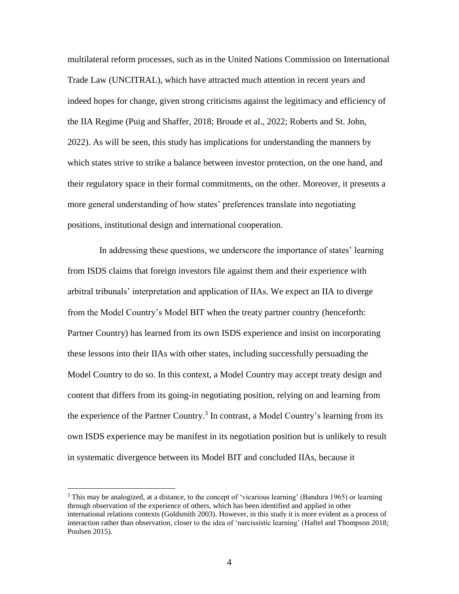multilateral reform processes, such as in the United Nations Commission on International Trade Law (UNCITRAL), which have attracted much attention in recent years and indeed hopes for change, given strong criticisms against the legitimacy and efficiency of the IIA Regime (Puig and Shaffer, 2018; Broude et al., 2022; Roberts and St. John, 2022). As will be seen, this study has implications for understanding the manners by which states strive to strike a balance between investor protection, on the one hand, and their regulatory space in their formal commitments, on the other. Moreover, it presents a more general understanding of how states' preferences translate into negotiating positions, institutional design and international cooperation.

In addressing these questions, we underscore the importance of states' learning from ISDS claims that foreign investors file against them and their experience with arbitral tribunals' interpretation and application of IIAs. We expect an IIA to diverge from the Model Country's Model BIT when the treaty partner country (henceforth: Partner Country) has learned from its own ISDS experience and insist on incorporating these lessons into their IIAs with other states, including successfully persuading the Model Country to do so. In this context, a Model Country may accept treaty design and content that differs from its going-in negotiating position, relying on and learning from the experience of the Partner Country.<sup>3</sup> In contrast, a Model Country's learning from its own ISDS experience may be manifest in its negotiation position but is unlikely to result in systematic divergence between its Model BIT and concluded IIAs, because it

l

 $3$  This may be analogized, at a distance, to the concept of 'vicarious learning' (Bandura 1965) or learning through observation of the experience of others, which has been identified and applied in other international relations contexts (Goldsmith 2003). However, in this study it is more evident as a process of interaction rather than observation, closer to the idea of 'narcissistic learning' (Haftel and Thompson 2018; Poulsen 2015).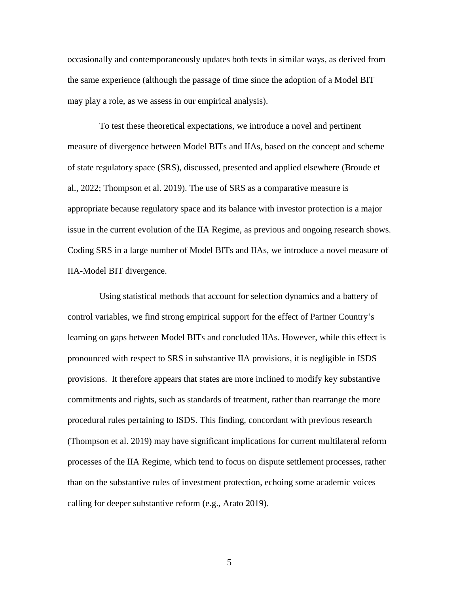occasionally and contemporaneously updates both texts in similar ways, as derived from the same experience (although the passage of time since the adoption of a Model BIT may play a role, as we assess in our empirical analysis).

To test these theoretical expectations, we introduce a novel and pertinent measure of divergence between Model BITs and IIAs, based on the concept and scheme of state regulatory space (SRS), discussed, presented and applied elsewhere (Broude et al., 2022; Thompson et al. 2019). The use of SRS as a comparative measure is appropriate because regulatory space and its balance with investor protection is a major issue in the current evolution of the IIA Regime, as previous and ongoing research shows. Coding SRS in a large number of Model BITs and IIAs, we introduce a novel measure of IIA-Model BIT divergence.

Using statistical methods that account for selection dynamics and a battery of control variables, we find strong empirical support for the effect of Partner Country's learning on gaps between Model BITs and concluded IIAs. However, while this effect is pronounced with respect to SRS in substantive IIA provisions, it is negligible in ISDS provisions. It therefore appears that states are more inclined to modify key substantive commitments and rights, such as standards of treatment, rather than rearrange the more procedural rules pertaining to ISDS. This finding, concordant with previous research (Thompson et al. 2019) may have significant implications for current multilateral reform processes of the IIA Regime, which tend to focus on dispute settlement processes, rather than on the substantive rules of investment protection, echoing some academic voices calling for deeper substantive reform (e.g., Arato 2019).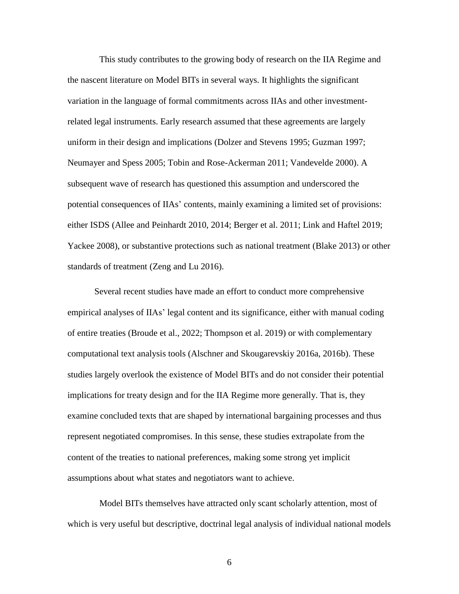This study contributes to the growing body of research on the IIA Regime and the nascent literature on Model BITs in several ways. It highlights the significant variation in the language of formal commitments across IIAs and other investmentrelated legal instruments. Early research assumed that these agreements are largely uniform in their design and implications (Dolzer and Stevens 1995; Guzman 1997; Neumayer and Spess 2005; Tobin and Rose-Ackerman 2011; Vandevelde 2000). A subsequent wave of research has questioned this assumption and underscored the potential consequences of IIAs' contents, mainly examining a limited set of provisions: either ISDS (Allee and Peinhardt 2010, 2014; Berger et al. 2011; Link and Haftel 2019; Yackee 2008), or substantive protections such as national treatment (Blake 2013) or other standards of treatment (Zeng and Lu 2016).

Several recent studies have made an effort to conduct more comprehensive empirical analyses of IIAs' legal content and its significance, either with manual coding of entire treaties (Broude et al., 2022; Thompson et al. 2019) or with complementary computational text analysis tools (Alschner and Skougarevskiy 2016a, 2016b). These studies largely overlook the existence of Model BITs and do not consider their potential implications for treaty design and for the IIA Regime more generally. That is, they examine concluded texts that are shaped by international bargaining processes and thus represent negotiated compromises. In this sense, these studies extrapolate from the content of the treaties to national preferences, making some strong yet implicit assumptions about what states and negotiators want to achieve.

Model BITs themselves have attracted only scant scholarly attention, most of which is very useful but descriptive, doctrinal legal analysis of individual national models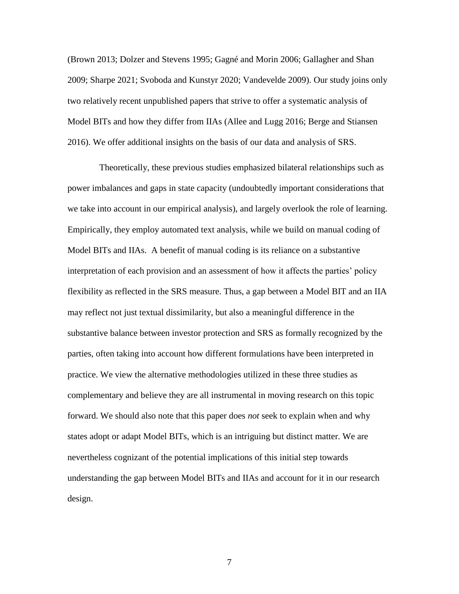(Brown 2013; Dolzer and Stevens 1995; Gagné and Morin 2006; Gallagher and Shan 2009; Sharpe 2021; Svoboda and Kunstyr 2020; Vandevelde 2009). Our study joins only two relatively recent unpublished papers that strive to offer a systematic analysis of Model BITs and how they differ from IIAs (Allee and Lugg 2016; Berge and Stiansen 2016). We offer additional insights on the basis of our data and analysis of SRS.

Theoretically, these previous studies emphasized bilateral relationships such as power imbalances and gaps in state capacity (undoubtedly important considerations that we take into account in our empirical analysis), and largely overlook the role of learning. Empirically, they employ automated text analysis, while we build on manual coding of Model BITs and IIAs. A benefit of manual coding is its reliance on a substantive interpretation of each provision and an assessment of how it affects the parties' policy flexibility as reflected in the SRS measure. Thus, a gap between a Model BIT and an IIA may reflect not just textual dissimilarity, but also a meaningful difference in the substantive balance between investor protection and SRS as formally recognized by the parties, often taking into account how different formulations have been interpreted in practice. We view the alternative methodologies utilized in these three studies as complementary and believe they are all instrumental in moving research on this topic forward. We should also note that this paper does *not* seek to explain when and why states adopt or adapt Model BITs, which is an intriguing but distinct matter. We are nevertheless cognizant of the potential implications of this initial step towards understanding the gap between Model BITs and IIAs and account for it in our research design.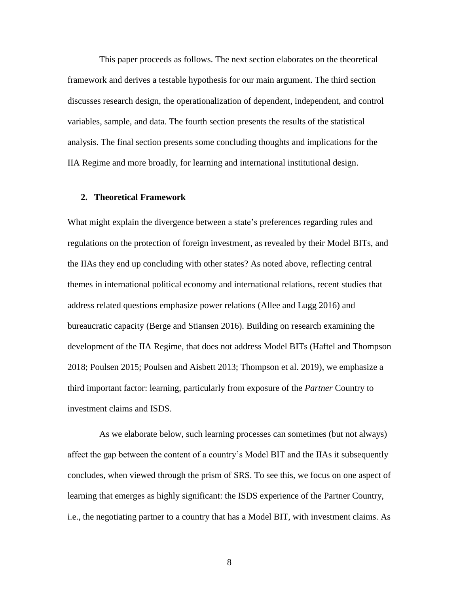This paper proceeds as follows. The next section elaborates on the theoretical framework and derives a testable hypothesis for our main argument. The third section discusses research design, the operationalization of dependent, independent, and control variables, sample, and data. The fourth section presents the results of the statistical analysis. The final section presents some concluding thoughts and implications for the IIA Regime and more broadly, for learning and international institutional design.

# **2. Theoretical Framework**

What might explain the divergence between a state's preferences regarding rules and regulations on the protection of foreign investment, as revealed by their Model BITs, and the IIAs they end up concluding with other states? As noted above, reflecting central themes in international political economy and international relations, recent studies that address related questions emphasize power relations (Allee and Lugg 2016) and bureaucratic capacity (Berge and Stiansen 2016). Building on research examining the development of the IIA Regime, that does not address Model BITs (Haftel and Thompson 2018; Poulsen 2015; Poulsen and Aisbett 2013; Thompson et al. 2019), we emphasize a third important factor: learning, particularly from exposure of the *Partner* Country to investment claims and ISDS.

As we elaborate below, such learning processes can sometimes (but not always) affect the gap between the content of a country's Model BIT and the IIAs it subsequently concludes, when viewed through the prism of SRS. To see this, we focus on one aspect of learning that emerges as highly significant: the ISDS experience of the Partner Country, i.e., the negotiating partner to a country that has a Model BIT, with investment claims. As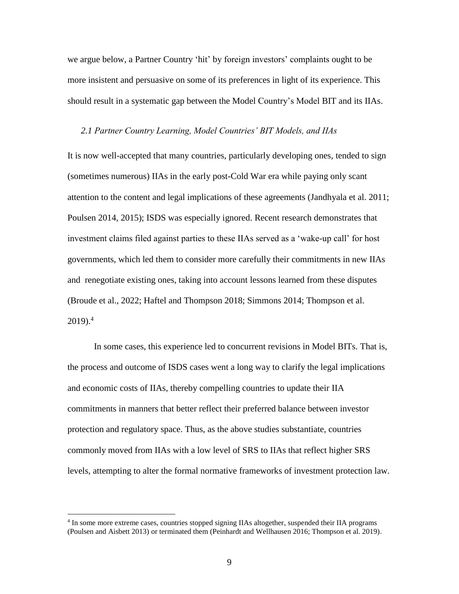we argue below, a Partner Country 'hit' by foreign investors' complaints ought to be more insistent and persuasive on some of its preferences in light of its experience. This should result in a systematic gap between the Model Country's Model BIT and its IIAs.

### *2.1 Partner Country Learning, Model Countries' BIT Models, and IIAs*

It is now well-accepted that many countries, particularly developing ones, tended to sign (sometimes numerous) IIAs in the early post-Cold War era while paying only scant attention to the content and legal implications of these agreements (Jandhyala et al. 2011; Poulsen 2014, 2015); ISDS was especially ignored. Recent research demonstrates that investment claims filed against parties to these IIAs served as a 'wake-up call' for host governments, which led them to consider more carefully their commitments in new IIAs and renegotiate existing ones, taking into account lessons learned from these disputes (Broude et al., 2022; Haftel and Thompson 2018; Simmons 2014; Thompson et al. 2019). 4

In some cases, this experience led to concurrent revisions in Model BITs. That is, the process and outcome of ISDS cases went a long way to clarify the legal implications and economic costs of IIAs, thereby compelling countries to update their IIA commitments in manners that better reflect their preferred balance between investor protection and regulatory space. Thus, as the above studies substantiate, countries commonly moved from IIAs with a low level of SRS to IIAs that reflect higher SRS levels, attempting to alter the formal normative frameworks of investment protection law.

 $\overline{a}$ 

<sup>&</sup>lt;sup>4</sup> In some more extreme cases, countries stopped signing IIAs altogether, suspended their IIA programs (Poulsen and Aisbett 2013) or terminated them (Peinhardt and Wellhausen 2016; Thompson et al. 2019).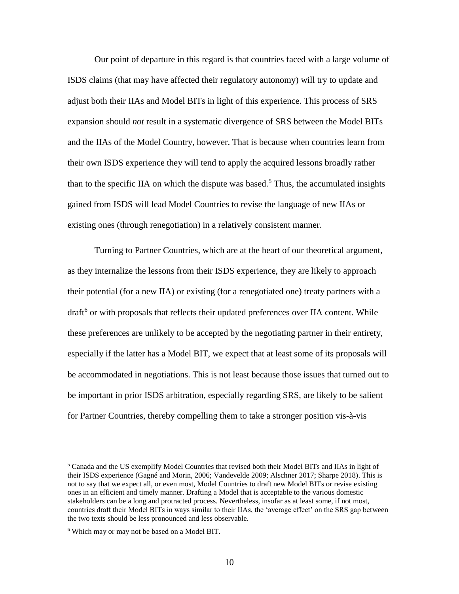Our point of departure in this regard is that countries faced with a large volume of ISDS claims (that may have affected their regulatory autonomy) will try to update and adjust both their IIAs and Model BITs in light of this experience. This process of SRS expansion should *not* result in a systematic divergence of SRS between the Model BITs and the IIAs of the Model Country, however. That is because when countries learn from their own ISDS experience they will tend to apply the acquired lessons broadly rather than to the specific IIA on which the dispute was based.<sup>5</sup> Thus, the accumulated insights gained from ISDS will lead Model Countries to revise the language of new IIAs or existing ones (through renegotiation) in a relatively consistent manner.

Turning to Partner Countries, which are at the heart of our theoretical argument, as they internalize the lessons from their ISDS experience, they are likely to approach their potential (for a new IIA) or existing (for a renegotiated one) treaty partners with a draft<sup>6</sup> or with proposals that reflects their updated preferences over IIA content. While these preferences are unlikely to be accepted by the negotiating partner in their entirety, especially if the latter has a Model BIT, we expect that at least some of its proposals will be accommodated in negotiations. This is not least because those issues that turned out to be important in prior ISDS arbitration, especially regarding SRS, are likely to be salient for Partner Countries, thereby compelling them to take a stronger position vis-à-vis

 $\overline{a}$ 

<sup>5</sup> Canada and the US exemplify Model Countries that revised both their Model BITs and IIAs in light of their ISDS experience (Gagné and Morin, 2006; Vandevelde 2009; Alschner 2017; Sharpe 2018). This is not to say that we expect all, or even most, Model Countries to draft new Model BITs or revise existing ones in an efficient and timely manner. Drafting a Model that is acceptable to the various domestic stakeholders can be a long and protracted process. Nevertheless, insofar as at least some, if not most, countries draft their Model BITs in ways similar to their IIAs, the 'average effect' on the SRS gap between the two texts should be less pronounced and less observable.

<sup>6</sup> Which may or may not be based on a Model BIT.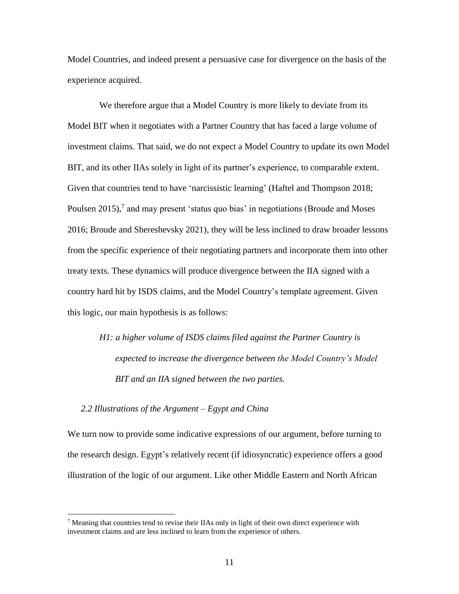Model Countries, and indeed present a persuasive case for divergence on the basis of the experience acquired.

We therefore argue that a Model Country is more likely to deviate from its Model BIT when it negotiates with a Partner Country that has faced a large volume of investment claims. That said, we do not expect a Model Country to update its own Model BIT, and its other IIAs solely in light of its partner's experience, to comparable extent. Given that countries tend to have 'narcissistic learning' (Haftel and Thompson 2018; Poulsen 2015),<sup>7</sup> and may present 'status quo bias' in negotiations (Broude and Moses 2016; Broude and Shereshevsky 2021), they will be less inclined to draw broader lessons from the specific experience of their negotiating partners and incorporate them into other treaty texts. These dynamics will produce divergence between the IIA signed with a country hard hit by ISDS claims, and the Model Country's template agreement. Given this logic, our main hypothesis is as follows:

*H1: a higher volume of ISDS claims filed against the Partner Country is expected to increase the divergence between the Model Country's Model BIT and an IIA signed between the two parties.* 

*2.2 Illustrations of the Argument – Egypt and China*

 $\overline{a}$ 

We turn now to provide some indicative expressions of our argument, before turning to the research design. Egypt's relatively recent (if idiosyncratic) experience offers a good illustration of the logic of our argument. Like other Middle Eastern and North African

<sup>&</sup>lt;sup>7</sup> Meaning that countries tend to revise their IIAs only in light of their own direct experience with investment claims and are less inclined to learn from the experience of others.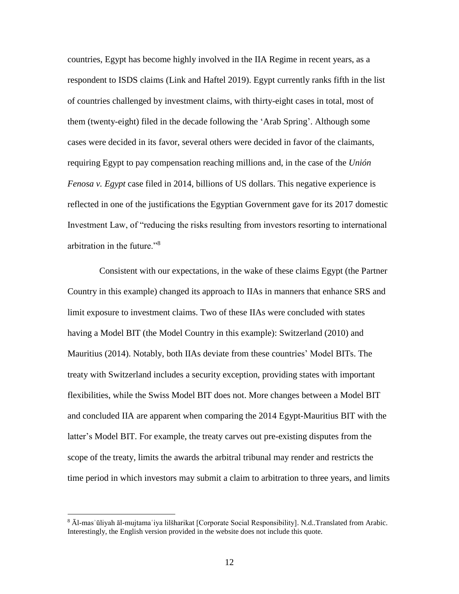countries, Egypt has become highly involved in the IIA Regime in recent years, as a respondent to ISDS claims (Link and Haftel 2019). Egypt currently ranks fifth in the list of countries challenged by investment claims, with thirty-eight cases in total, most of them (twenty-eight) filed in the decade following the 'Arab Spring'. Although some cases were decided in its favor, several others were decided in favor of the claimants, requiring Egypt to pay compensation reaching millions and, in the case of the *Unión Fenosa v. Egypt* case filed in 2014, billions of US dollars. This negative experience is reflected in one of the justifications the Egyptian Government gave for its 2017 domestic Investment Law, of "reducing the risks resulting from investors resorting to international arbitration in the future."<sup>8</sup>

Consistent with our expectations, in the wake of these claims Egypt (the Partner Country in this example) changed its approach to IIAs in manners that enhance SRS and limit exposure to investment claims. Two of these IIAs were concluded with states having a Model BIT (the Model Country in this example): Switzerland (2010) and Mauritius (2014). Notably, both IIAs deviate from these countries' Model BITs. The treaty with Switzerland includes a security exception, providing states with important flexibilities, while the Swiss Model BIT does not. More changes between a Model BIT and concluded IIA are apparent when comparing the 2014 Egypt-Mauritius BIT with the latter's Model BIT. For example, the treaty carves out pre-existing disputes from the scope of the treaty, limits the awards the arbitral tribunal may render and restricts the time period in which investors may submit a claim to arbitration to three years, and limits

 $\overline{a}$ 

<sup>8</sup> Āl-masʾūliyah āl-mujtamaʿiya lilšharikat [Corporate Social Responsibility]. N.d..Translated from Arabic. Interestingly, the English version provided in the website does not include this quote.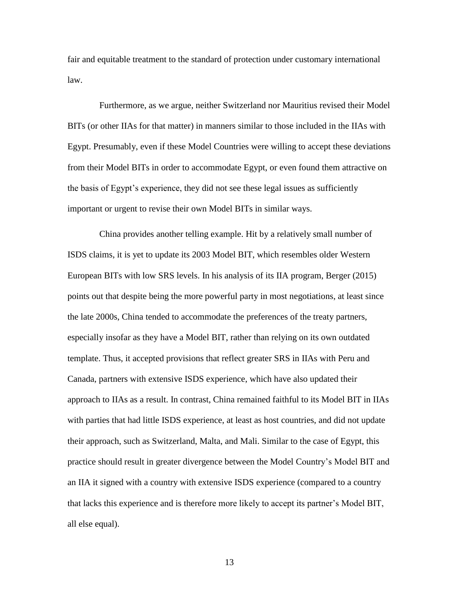fair and equitable treatment to the standard of protection under customary international law.

Furthermore, as we argue, neither Switzerland nor Mauritius revised their Model BITs (or other IIAs for that matter) in manners similar to those included in the IIAs with Egypt. Presumably, even if these Model Countries were willing to accept these deviations from their Model BITs in order to accommodate Egypt, or even found them attractive on the basis of Egypt's experience, they did not see these legal issues as sufficiently important or urgent to revise their own Model BITs in similar ways.

China provides another telling example. Hit by a relatively small number of ISDS claims, it is yet to update its 2003 Model BIT, which resembles older Western European BITs with low SRS levels. In his analysis of its IIA program, Berger (2015) points out that despite being the more powerful party in most negotiations, at least since the late 2000s, China tended to accommodate the preferences of the treaty partners, especially insofar as they have a Model BIT, rather than relying on its own outdated template. Thus, it accepted provisions that reflect greater SRS in IIAs with Peru and Canada, partners with extensive ISDS experience, which have also updated their approach to IIAs as a result. In contrast, China remained faithful to its Model BIT in IIAs with parties that had little ISDS experience, at least as host countries, and did not update their approach, such as Switzerland, Malta, and Mali. Similar to the case of Egypt, this practice should result in greater divergence between the Model Country's Model BIT and an IIA it signed with a country with extensive ISDS experience (compared to a country that lacks this experience and is therefore more likely to accept its partner's Model BIT, all else equal).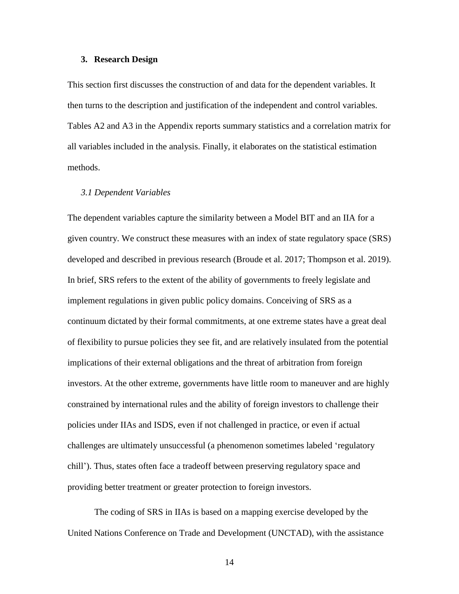### **3. Research Design**

This section first discusses the construction of and data for the dependent variables. It then turns to the description and justification of the independent and control variables. Tables A2 and A3 in the Appendix reports summary statistics and a correlation matrix for all variables included in the analysis. Finally, it elaborates on the statistical estimation methods.

#### *3.1 Dependent Variables*

The dependent variables capture the similarity between a Model BIT and an IIA for a given country. We construct these measures with an index of state regulatory space (SRS) developed and described in previous research (Broude et al. 2017; Thompson et al. 2019). In brief, SRS refers to the extent of the ability of governments to freely legislate and implement regulations in given public policy domains. Conceiving of SRS as a continuum dictated by their formal commitments, at one extreme states have a great deal of flexibility to pursue policies they see fit, and are relatively insulated from the potential implications of their external obligations and the threat of arbitration from foreign investors. At the other extreme, governments have little room to maneuver and are highly constrained by international rules and the ability of foreign investors to challenge their policies under IIAs and ISDS, even if not challenged in practice, or even if actual challenges are ultimately unsuccessful (a phenomenon sometimes labeled 'regulatory chill'). Thus, states often face a tradeoff between preserving regulatory space and providing better treatment or greater protection to foreign investors.

The coding of SRS in IIAs is based on a mapping exercise developed by the United Nations Conference on Trade and Development (UNCTAD), with the assistance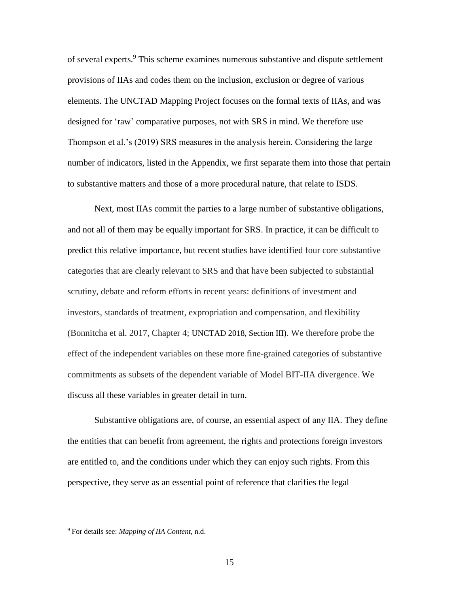of several experts.<sup>9</sup> This scheme examines numerous substantive and dispute settlement provisions of IIAs and codes them on the inclusion, exclusion or degree of various elements. The UNCTAD Mapping Project focuses on the formal texts of IIAs, and was designed for 'raw' comparative purposes, not with SRS in mind. We therefore use Thompson et al.'s (2019) SRS measures in the analysis herein. Considering the large number of indicators, listed in the Appendix, we first separate them into those that pertain to substantive matters and those of a more procedural nature, that relate to ISDS.

Next, most IIAs commit the parties to a large number of substantive obligations, and not all of them may be equally important for SRS. In practice, it can be difficult to predict this relative importance, but recent studies have identified four core substantive categories that are clearly relevant to SRS and that have been subjected to substantial scrutiny, debate and reform efforts in recent years: definitions of investment and investors, standards of treatment, expropriation and compensation, and flexibility (Bonnitcha et al. 2017, Chapter 4; UNCTAD 2018, Section III). We therefore probe the effect of the independent variables on these more fine-grained categories of substantive commitments as subsets of the dependent variable of Model BIT-IIA divergence. We discuss all these variables in greater detail in turn.

Substantive obligations are, of course, an essential aspect of any IIA. They define the entities that can benefit from agreement, the rights and protections foreign investors are entitled to, and the conditions under which they can enjoy such rights. From this perspective, they serve as an essential point of reference that clarifies the legal

 $\overline{\phantom{a}}$ 

<sup>9</sup> For details see: *Mapping of IIA Content,* n.d.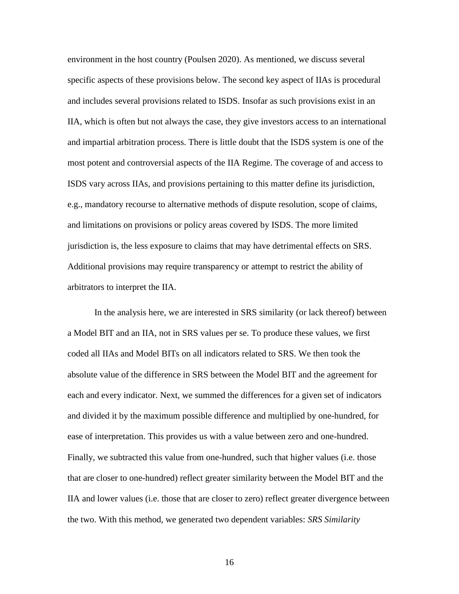environment in the host country (Poulsen 2020). As mentioned, we discuss several specific aspects of these provisions below. The second key aspect of IIAs is procedural and includes several provisions related to ISDS. Insofar as such provisions exist in an IIA, which is often but not always the case, they give investors access to an international and impartial arbitration process. There is little doubt that the ISDS system is one of the most potent and controversial aspects of the IIA Regime. The coverage of and access to ISDS vary across IIAs, and provisions pertaining to this matter define its jurisdiction, e.g., mandatory recourse to alternative methods of dispute resolution, scope of claims, and limitations on provisions or policy areas covered by ISDS. The more limited jurisdiction is, the less exposure to claims that may have detrimental effects on SRS. Additional provisions may require transparency or attempt to restrict the ability of arbitrators to interpret the IIA.

In the analysis here, we are interested in SRS similarity (or lack thereof) between a Model BIT and an IIA, not in SRS values per se. To produce these values, we first coded all IIAs and Model BITs on all indicators related to SRS. We then took the absolute value of the difference in SRS between the Model BIT and the agreement for each and every indicator. Next, we summed the differences for a given set of indicators and divided it by the maximum possible difference and multiplied by one-hundred, for ease of interpretation. This provides us with a value between zero and one-hundred. Finally, we subtracted this value from one-hundred, such that higher values (i.e. those that are closer to one-hundred) reflect greater similarity between the Model BIT and the IIA and lower values (i.e. those that are closer to zero) reflect greater divergence between the two. With this method, we generated two dependent variables: *SRS Similarity*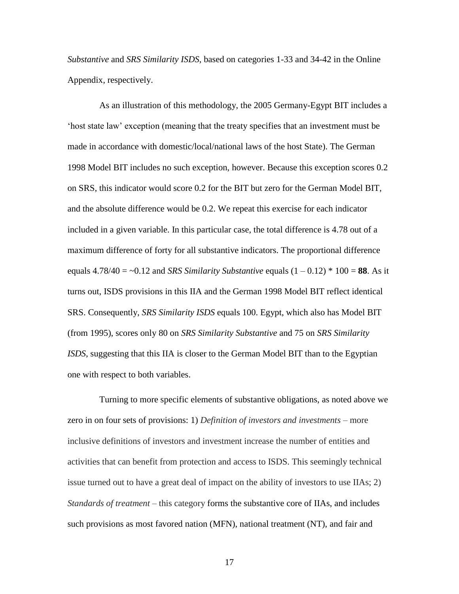*Substantive* and *SRS Similarity ISDS*, based on categories 1-33 and 34-42 in the Online Appendix, respectively.

As an illustration of this methodology, the 2005 Germany-Egypt BIT includes a 'host state law' exception (meaning that the treaty specifies that an investment must be made in accordance with domestic/local/national laws of the host State). The German 1998 Model BIT includes no such exception, however. Because this exception scores 0.2 on SRS, this indicator would score 0.2 for the BIT but zero for the German Model BIT, and the absolute difference would be 0.2. We repeat this exercise for each indicator included in a given variable. In this particular case, the total difference is 4.78 out of a maximum difference of forty for all substantive indicators. The proportional difference equals  $4.78/40 = -0.12$  and *SRS Similarity Substantive* equals  $(1 - 0.12) * 100 = 88$ . As it turns out, ISDS provisions in this IIA and the German 1998 Model BIT reflect identical SRS. Consequently, *SRS Similarity ISDS* equals 100. Egypt, which also has Model BIT (from 1995), scores only 80 on *SRS Similarity Substantive* and 75 on *SRS Similarity ISDS*, suggesting that this IIA is closer to the German Model BIT than to the Egyptian one with respect to both variables.

Turning to more specific elements of substantive obligations, as noted above we zero in on four sets of provisions: 1) *Definition of investors and investments* – more inclusive definitions of investors and investment increase the number of entities and activities that can benefit from protection and access to ISDS. This seemingly technical issue turned out to have a great deal of impact on the ability of investors to use IIAs; 2) *Standards of treatment* – this category forms the substantive core of IIAs, and includes such provisions as most favored nation (MFN), national treatment (NT), and fair and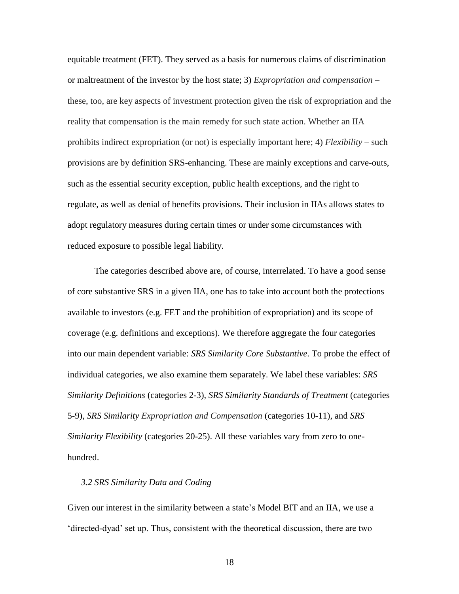equitable treatment (FET). They served as a basis for numerous claims of discrimination or maltreatment of the investor by the host state; 3) *Expropriation and compensation –* these, too, are key aspects of investment protection given the risk of expropriation and the reality that compensation is the main remedy for such state action. Whether an IIA prohibits indirect expropriation (or not) is especially important here; 4) *Flexibility* – such provisions are by definition SRS-enhancing. These are mainly exceptions and carve-outs, such as the essential security exception, public health exceptions, and the right to regulate, as well as denial of benefits provisions. Their inclusion in IIAs allows states to adopt regulatory measures during certain times or under some circumstances with reduced exposure to possible legal liability.

The categories described above are, of course, interrelated. To have a good sense of core substantive SRS in a given IIA, one has to take into account both the protections available to investors (e.g. FET and the prohibition of expropriation) and its scope of coverage (e.g. definitions and exceptions). We therefore aggregate the four categories into our main dependent variable: *SRS Similarity Core Substantive*. To probe the effect of individual categories, we also examine them separately. We label these variables: *SRS Similarity Definitions* (categories 2-3), *SRS Similarity Standards of Treatment* (categories 5-9), *SRS Similarity Expropriation and Compensation* (categories 10-11), and *SRS Similarity Flexibility* (categories 20-25). All these variables vary from zero to onehundred.

# *3.2 SRS Similarity Data and Coding*

Given our interest in the similarity between a state's Model BIT and an IIA, we use a 'directed-dyad' set up. Thus, consistent with the theoretical discussion, there are two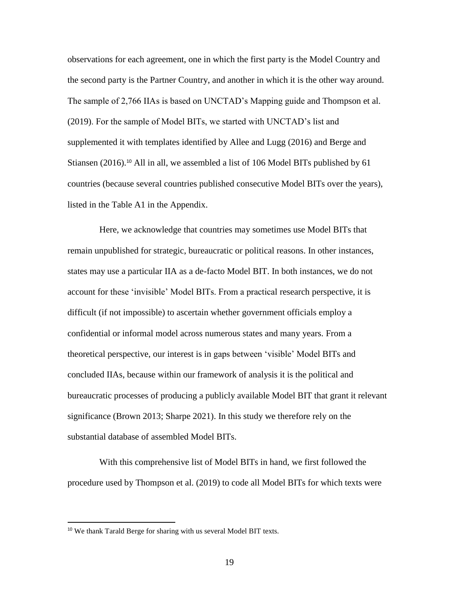observations for each agreement, one in which the first party is the Model Country and the second party is the Partner Country, and another in which it is the other way around. The sample of 2,766 IIAs is based on UNCTAD's Mapping guide and Thompson et al. (2019). For the sample of Model BITs, we started with UNCTAD's list and supplemented it with templates identified by Allee and Lugg (2016) and Berge and Stiansen (2016).<sup>10</sup> All in all, we assembled a list of 106 Model BITs published by 61 countries (because several countries published consecutive Model BITs over the years), listed in the Table A1 in the Appendix.

Here, we acknowledge that countries may sometimes use Model BITs that remain unpublished for strategic, bureaucratic or political reasons. In other instances, states may use a particular IIA as a de-facto Model BIT. In both instances, we do not account for these 'invisible' Model BITs. From a practical research perspective, it is difficult (if not impossible) to ascertain whether government officials employ a confidential or informal model across numerous states and many years. From a theoretical perspective, our interest is in gaps between 'visible' Model BITs and concluded IIAs, because within our framework of analysis it is the political and bureaucratic processes of producing a publicly available Model BIT that grant it relevant significance (Brown 2013; Sharpe 2021). In this study we therefore rely on the substantial database of assembled Model BITs.

With this comprehensive list of Model BITs in hand, we first followed the procedure used by Thompson et al. (2019) to code all Model BITs for which texts were

 $\overline{\phantom{a}}$ 

<sup>&</sup>lt;sup>10</sup> We thank Tarald Berge for sharing with us several Model BIT texts.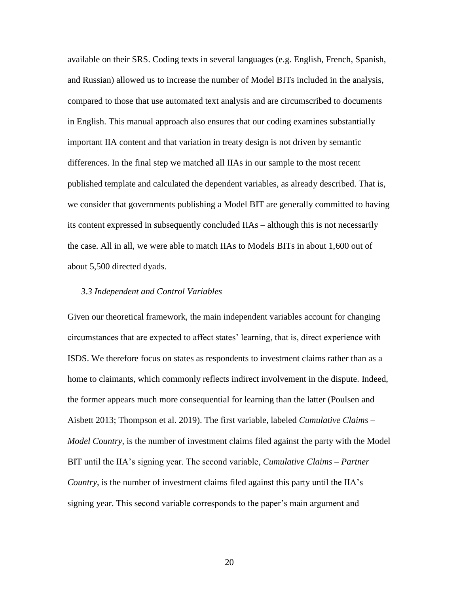available on their SRS. Coding texts in several languages (e.g. English, French, Spanish, and Russian) allowed us to increase the number of Model BITs included in the analysis, compared to those that use automated text analysis and are circumscribed to documents in English. This manual approach also ensures that our coding examines substantially important IIA content and that variation in treaty design is not driven by semantic differences. In the final step we matched all IIAs in our sample to the most recent published template and calculated the dependent variables, as already described. That is, we consider that governments publishing a Model BIT are generally committed to having its content expressed in subsequently concluded IIAs – although this is not necessarily the case. All in all, we were able to match IIAs to Models BITs in about 1,600 out of about 5,500 directed dyads.

#### *3.3 Independent and Control Variables*

Given our theoretical framework, the main independent variables account for changing circumstances that are expected to affect states' learning, that is, direct experience with ISDS. We therefore focus on states as respondents to investment claims rather than as a home to claimants, which commonly reflects indirect involvement in the dispute. Indeed, the former appears much more consequential for learning than the latter (Poulsen and Aisbett 2013; Thompson et al. 2019). The first variable, labeled *Cumulative Claims – Model Country*, is the number of investment claims filed against the party with the Model BIT until the IIA's signing year. The second variable, *Cumulative Claims – Partner Country*, is the number of investment claims filed against this party until the IIA's signing year. This second variable corresponds to the paper's main argument and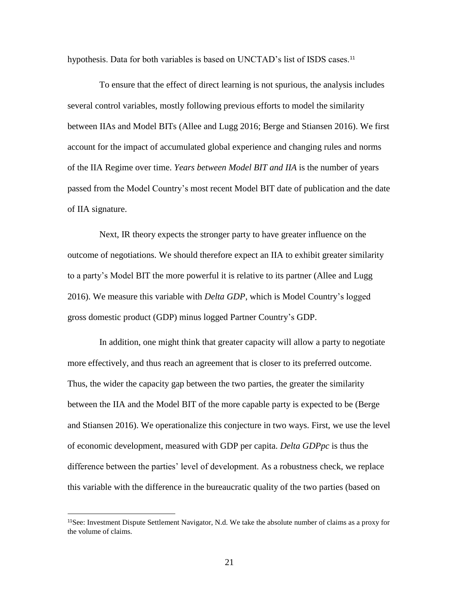hypothesis. Data for both variables is based on UNCTAD's list of ISDS cases.<sup>11</sup>

To ensure that the effect of direct learning is not spurious, the analysis includes several control variables, mostly following previous efforts to model the similarity between IIAs and Model BITs (Allee and Lugg 2016; Berge and Stiansen 2016). We first account for the impact of accumulated global experience and changing rules and norms of the IIA Regime over time. *Years between Model BIT and IIA* is the number of years passed from the Model Country's most recent Model BIT date of publication and the date of IIA signature.

Next, IR theory expects the stronger party to have greater influence on the outcome of negotiations. We should therefore expect an IIA to exhibit greater similarity to a party's Model BIT the more powerful it is relative to its partner (Allee and Lugg 2016). We measure this variable with *Delta GDP*, which is Model Country's logged gross domestic product (GDP) minus logged Partner Country's GDP.

In addition, one might think that greater capacity will allow a party to negotiate more effectively, and thus reach an agreement that is closer to its preferred outcome. Thus, the wider the capacity gap between the two parties, the greater the similarity between the IIA and the Model BIT of the more capable party is expected to be (Berge and Stiansen 2016). We operationalize this conjecture in two ways. First, we use the level of economic development, measured with GDP per capita. *Delta GDPpc* is thus the difference between the parties' level of development. As a robustness check, we replace this variable with the difference in the bureaucratic quality of the two parties (based on

l

<sup>&</sup>lt;sup>11</sup>See: Investment Dispute Settlement Navigator, N.d. We take the absolute number of claims as a proxy for the volume of claims.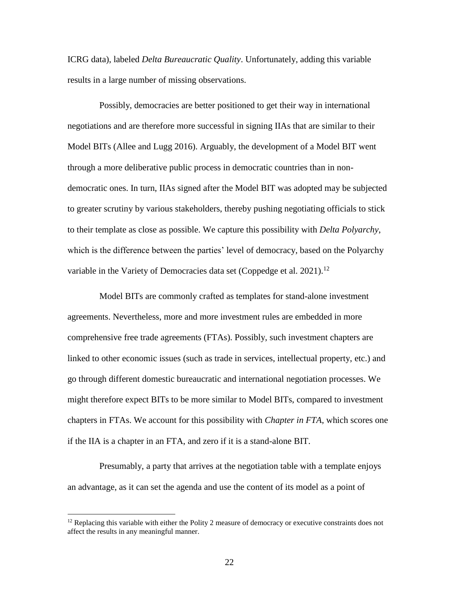ICRG data), labeled *Delta Bureaucratic Quality*. Unfortunately, adding this variable results in a large number of missing observations.

Possibly, democracies are better positioned to get their way in international negotiations and are therefore more successful in signing IIAs that are similar to their Model BITs (Allee and Lugg 2016). Arguably, the development of a Model BIT went through a more deliberative public process in democratic countries than in nondemocratic ones. In turn, IIAs signed after the Model BIT was adopted may be subjected to greater scrutiny by various stakeholders, thereby pushing negotiating officials to stick to their template as close as possible. We capture this possibility with *Delta Polyarchy*, which is the difference between the parties' level of democracy, based on the Polyarchy variable in the Variety of Democracies data set (Coppedge et al. 2021).<sup>12</sup>

Model BITs are commonly crafted as templates for stand-alone investment agreements. Nevertheless, more and more investment rules are embedded in more comprehensive free trade agreements (FTAs). Possibly, such investment chapters are linked to other economic issues (such as trade in services, intellectual property, etc.) and go through different domestic bureaucratic and international negotiation processes. We might therefore expect BITs to be more similar to Model BITs, compared to investment chapters in FTAs. We account for this possibility with *Chapter in FTA*, which scores one if the IIA is a chapter in an FTA, and zero if it is a stand-alone BIT.

Presumably, a party that arrives at the negotiation table with a template enjoys an advantage, as it can set the agenda and use the content of its model as a point of

 $\overline{a}$ 

 $12$  Replacing this variable with either the Polity 2 measure of democracy or executive constraints does not affect the results in any meaningful manner.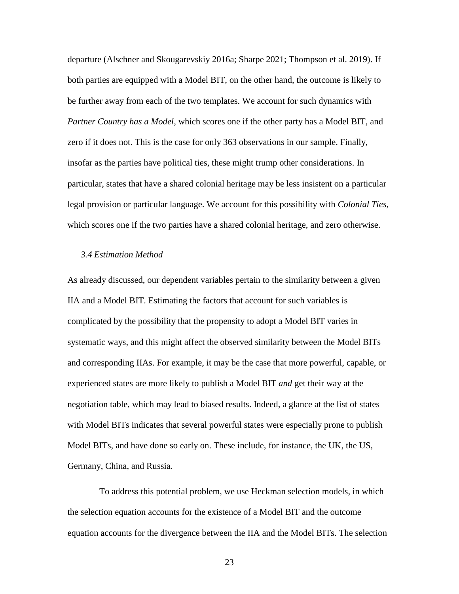departure (Alschner and Skougarevskiy 2016a; Sharpe 2021; Thompson et al. 2019). If both parties are equipped with a Model BIT, on the other hand, the outcome is likely to be further away from each of the two templates. We account for such dynamics with *Partner Country has a Model*, which scores one if the other party has a Model BIT, and zero if it does not. This is the case for only 363 observations in our sample. Finally, insofar as the parties have political ties, these might trump other considerations. In particular, states that have a shared colonial heritage may be less insistent on a particular legal provision or particular language. We account for this possibility with *Colonial Ties*, which scores one if the two parties have a shared colonial heritage, and zero otherwise.

#### *3.4 Estimation Method*

As already discussed, our dependent variables pertain to the similarity between a given IIA and a Model BIT. Estimating the factors that account for such variables is complicated by the possibility that the propensity to adopt a Model BIT varies in systematic ways, and this might affect the observed similarity between the Model BITs and corresponding IIAs. For example, it may be the case that more powerful, capable, or experienced states are more likely to publish a Model BIT *and* get their way at the negotiation table, which may lead to biased results. Indeed, a glance at the list of states with Model BITs indicates that several powerful states were especially prone to publish Model BITs, and have done so early on. These include, for instance, the UK, the US, Germany, China, and Russia.

To address this potential problem, we use Heckman selection models, in which the selection equation accounts for the existence of a Model BIT and the outcome equation accounts for the divergence between the IIA and the Model BITs. The selection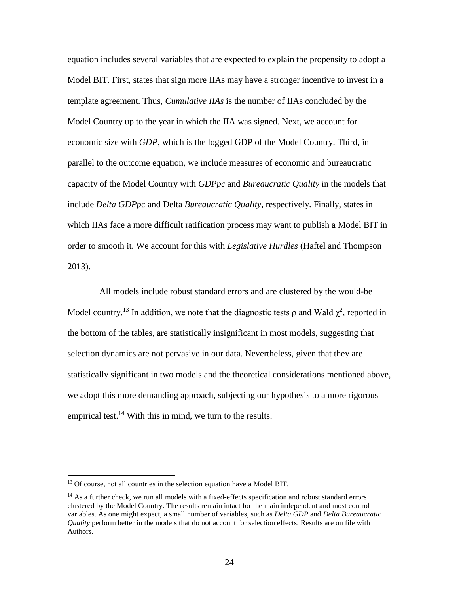equation includes several variables that are expected to explain the propensity to adopt a Model BIT. First, states that sign more IIAs may have a stronger incentive to invest in a template agreement. Thus, *Cumulative IIAs* is the number of IIAs concluded by the Model Country up to the year in which the IIA was signed. Next, we account for economic size with *GDP*, which is the logged GDP of the Model Country. Third, in parallel to the outcome equation, we include measures of economic and bureaucratic capacity of the Model Country with *GDPpc* and *Bureaucratic Quality* in the models that include *Delta GDPpc* and Delta *Bureaucratic Quality*, respectively. Finally, states in which IIAs face a more difficult ratification process may want to publish a Model BIT in order to smooth it. We account for this with *Legislative Hurdles* (Haftel and Thompson 2013).

All models include robust standard errors and are clustered by the would-be Model country.<sup>13</sup> In addition, we note that the diagnostic tests  $\rho$  and Wald  $\chi^2$ , reported in the bottom of the tables, are statistically insignificant in most models, suggesting that selection dynamics are not pervasive in our data. Nevertheless, given that they are statistically significant in two models and the theoretical considerations mentioned above, we adopt this more demanding approach, subjecting our hypothesis to a more rigorous empirical test.<sup>14</sup> With this in mind, we turn to the results.

 $\overline{\phantom{a}}$ 

<sup>&</sup>lt;sup>13</sup> Of course, not all countries in the selection equation have a Model BIT.

 $14$  As a further check, we run all models with a fixed-effects specification and robust standard errors clustered by the Model Country. The results remain intact for the main independent and most control variables. As one might expect, a small number of variables, such as *Delta GDP* and *Delta Bureaucratic Quality* perform better in the models that do not account for selection effects. Results are on file with Authors.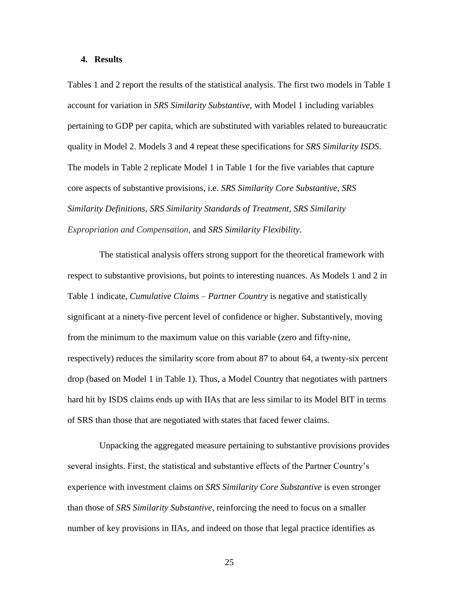# **4. Results**

Tables 1 and 2 report the results of the statistical analysis. The first two models in Table 1 account for variation in *SRS Similarity Substantive*, with Model 1 including variables pertaining to GDP per capita, which are substituted with variables related to bureaucratic quality in Model 2. Models 3 and 4 repeat these specifications for *SRS Similarity ISDS*. The models in Table 2 replicate Model 1 in Table 1 for the five variables that capture core aspects of substantive provisions, i.e. *SRS Similarity Core Substantive*, *SRS Similarity Definitions*, *SRS Similarity Standards of Treatment*, *SRS Similarity Expropriation and Compensation*, and *SRS Similarity Flexibility*.

The statistical analysis offers strong support for the theoretical framework with respect to substantive provisions, but points to interesting nuances. As Models 1 and 2 in Table 1 indicate, *Cumulative Claims – Partner Country* is negative and statistically significant at a ninety-five percent level of confidence or higher. Substantively, moving from the minimum to the maximum value on this variable (zero and fifty-nine, respectively) reduces the similarity score from about 87 to about 64, a twenty-six percent drop (based on Model 1 in Table 1). Thus, a Model Country that negotiates with partners hard hit by ISDS claims ends up with IIAs that are less similar to its Model BIT in terms of SRS than those that are negotiated with states that faced fewer claims.

Unpacking the aggregated measure pertaining to substantive provisions provides several insights. First, the statistical and substantive effects of the Partner Country's experience with investment claims on *SRS Similarity Core Substantive* is even stronger than those of *SRS Similarity Substantive*, reinforcing the need to focus on a smaller number of key provisions in IIAs, and indeed on those that legal practice identifies as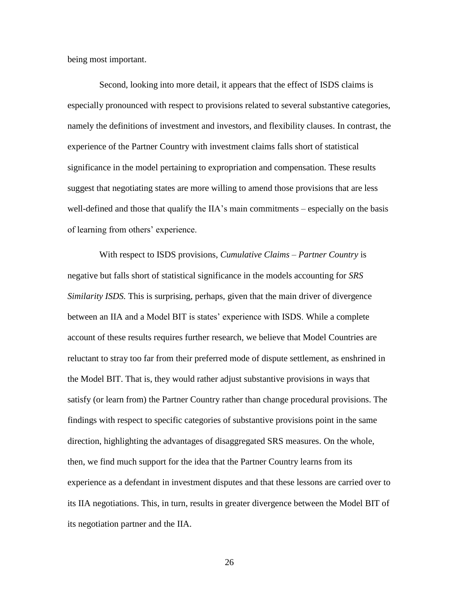being most important.

Second, looking into more detail, it appears that the effect of ISDS claims is especially pronounced with respect to provisions related to several substantive categories, namely the definitions of investment and investors, and flexibility clauses. In contrast, the experience of the Partner Country with investment claims falls short of statistical significance in the model pertaining to expropriation and compensation. These results suggest that negotiating states are more willing to amend those provisions that are less well-defined and those that qualify the IIA's main commitments – especially on the basis of learning from others' experience.

With respect to ISDS provisions, *Cumulative Claims – Partner Country* is negative but falls short of statistical significance in the models accounting for *SRS Similarity ISDS.* This is surprising, perhaps, given that the main driver of divergence between an IIA and a Model BIT is states' experience with ISDS. While a complete account of these results requires further research, we believe that Model Countries are reluctant to stray too far from their preferred mode of dispute settlement, as enshrined in the Model BIT. That is, they would rather adjust substantive provisions in ways that satisfy (or learn from) the Partner Country rather than change procedural provisions. The findings with respect to specific categories of substantive provisions point in the same direction, highlighting the advantages of disaggregated SRS measures. On the whole, then, we find much support for the idea that the Partner Country learns from its experience as a defendant in investment disputes and that these lessons are carried over to its IIA negotiations. This, in turn, results in greater divergence between the Model BIT of its negotiation partner and the IIA.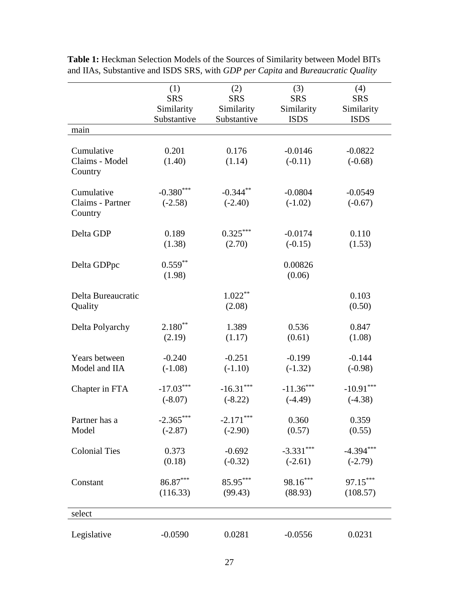|                      | (1)         | (2)         | (3)         | (4)         |
|----------------------|-------------|-------------|-------------|-------------|
|                      | <b>SRS</b>  | <b>SRS</b>  | <b>SRS</b>  | <b>SRS</b>  |
|                      | Similarity  | Similarity  | Similarity  | Similarity  |
|                      | Substantive | Substantive | <b>ISDS</b> | <b>ISDS</b> |
| main                 |             |             |             |             |
| Cumulative           | 0.201       | 0.176       | $-0.0146$   | $-0.0822$   |
| Claims - Model       | (1.40)      | (1.14)      | $(-0.11)$   | $(-0.68)$   |
| Country              |             |             |             |             |
| Cumulative           | $-0.380***$ | $-0.344$ ** | $-0.0804$   | $-0.0549$   |
| Claims - Partner     | $(-2.58)$   | $(-2.40)$   | $(-1.02)$   | $(-0.67)$   |
| Country              |             |             |             |             |
| Delta GDP            | 0.189       | $0.325***$  | $-0.0174$   | 0.110       |
|                      | (1.38)      | (2.70)      | $(-0.15)$   | (1.53)      |
| Delta GDPpc          | $0.559***$  |             | 0.00826     |             |
|                      | (1.98)      |             | (0.06)      |             |
| Delta Bureaucratic   |             | $1.022***$  |             | 0.103       |
| Quality              |             | (2.08)      |             | (0.50)      |
|                      |             |             |             |             |
| Delta Polyarchy      | $2.180**$   | 1.389       | 0.536       | 0.847       |
|                      | (2.19)      | (1.17)      | (0.61)      | (1.08)      |
| Years between        | $-0.240$    | $-0.251$    | $-0.199$    | $-0.144$    |
| Model and IIA        | $(-1.08)$   | $(-1.10)$   | $(-1.32)$   | $(-0.98)$   |
| Chapter in FTA       | $-17.03***$ | $-16.31***$ | $-11.36***$ | $-10.91***$ |
|                      | $(-8.07)$   | $(-8.22)$   | $(-4.49)$   | $(-4.38)$   |
| Partner has a        | $-2.365***$ | $-2.171***$ | 0.360       | 0.359       |
| Model                | $(-2.87)$   | $(-2.90)$   | (0.57)      | (0.55)      |
| <b>Colonial Ties</b> | 0.373       | $-0.692$    | $-3.331***$ | $-4.394***$ |
|                      | (0.18)      | $(-0.32)$   | $(-2.61)$   | $(-2.79)$   |
| Constant             | $86.87***$  | 85.95***    | $98.16***$  | 97.15***    |
|                      | (116.33)    | (99.43)     | (88.93)     | (108.57)    |
|                      |             |             |             |             |
| select               |             |             |             |             |
| Legislative          | $-0.0590$   | 0.0281      | $-0.0556$   | 0.0231      |

**Table 1:** Heckman Selection Models of the Sources of Similarity between Model BITs and IIAs, Substantive and ISDS SRS, with *GDP per Capita* and *Bureaucratic Quality*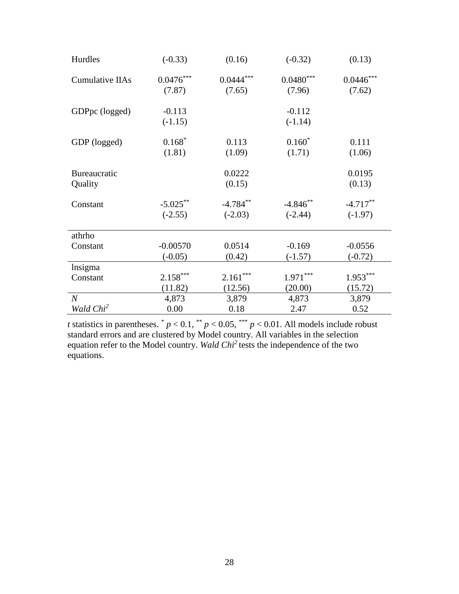| Hurdles                 | $(-0.33)$                | (0.16)                  | $(-0.32)$               | (0.13)                  |
|-------------------------|--------------------------|-------------------------|-------------------------|-------------------------|
| <b>Cumulative IIAs</b>  | $0.0476***$<br>(7.87)    | $0.0444***$<br>(7.65)   | $0.0480***$<br>(7.96)   | $0.0446***$<br>(7.62)   |
| GDPpc (logged)          | $-0.113$<br>$(-1.15)$    |                         | $-0.112$<br>$(-1.14)$   |                         |
| GDP (logged)            | $0.168*$<br>(1.81)       | 0.113<br>(1.09)         | $0.160*$<br>(1.71)      | 0.111<br>(1.06)         |
| Bureaucratic<br>Quality |                          | 0.0222<br>(0.15)        |                         | 0.0195<br>(0.13)        |
| Constant                | $-5.025***$<br>$(-2.55)$ | $-4.784**$<br>$(-2.03)$ | $-4.846**$<br>$(-2.44)$ | $-4.717**$<br>$(-1.97)$ |
| athrho                  |                          |                         |                         |                         |
| Constant                | $-0.00570$<br>$(-0.05)$  | 0.0514<br>(0.42)        | $-0.169$<br>$(-1.57)$   | $-0.0556$<br>$(-0.72)$  |
| lnsigma                 |                          |                         |                         |                         |
| Constant                | $2.158***$               | $2.161***$              | $1.971***$              | $1.953***$              |
|                         | (11.82)                  | (12.56)                 | (20.00)                 | (15.72)                 |
| $\boldsymbol{N}$        | 4,873                    | 3,879                   | 4,873                   | 3,879                   |
| Wald Chi <sup>2</sup>   | 0.00                     | 0.18                    | 2.47                    | 0.52                    |

*t* statistics in parentheses.  $p < 0.1$ ,  $p < 0.05$ ,  $p < 0.01$ . All models include robust standard errors and are clustered by Model country. All variables in the selection equation refer to the Model country. *Wald Chi<sup>2</sup>*tests the independence of the two equations.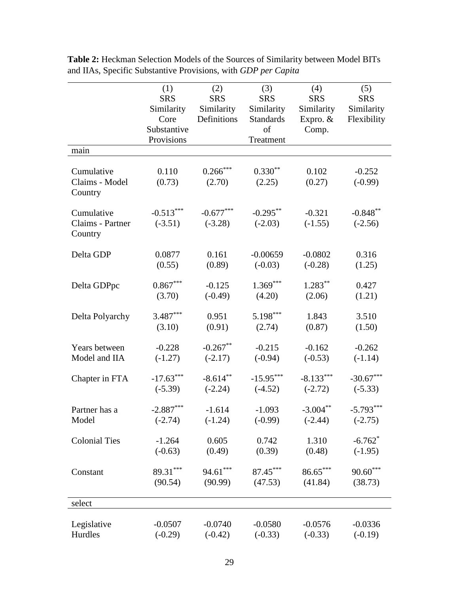|                                           | (1)<br><b>SRS</b><br>Similarity<br>Core<br>Substantive<br>Provisions | (2)<br><b>SRS</b><br>Similarity<br>Definitions |                          | (4)<br><b>SRS</b><br>Similarity<br>Expro. $&$<br>Comp. | (5)<br><b>SRS</b><br>Similarity<br>Flexibility |  |
|-------------------------------------------|----------------------------------------------------------------------|------------------------------------------------|--------------------------|--------------------------------------------------------|------------------------------------------------|--|
| main                                      |                                                                      |                                                | Treatment                |                                                        |                                                |  |
| Cumulative<br>Claims - Model<br>Country   | 0.110<br>(0.73)                                                      | $0.266***$<br>(2.70)                           | $0.330**$<br>(2.25)      | 0.102<br>(0.27)                                        | $-0.252$<br>$(-0.99)$                          |  |
| Cumulative<br>Claims - Partner<br>Country | $-0.513***$<br>$(-3.51)$                                             | $-0.677***$<br>$(-3.28)$                       | $-0.295***$<br>$(-2.03)$ | $-0.321$<br>$(-1.55)$                                  | $-0.848**$<br>$(-2.56)$                        |  |
| Delta GDP                                 | 0.0877                                                               | 0.161                                          | $-0.00659$               | $-0.0802$                                              | 0.316                                          |  |
|                                           | (0.55)                                                               | (0.89)                                         | $(-0.03)$                | $(-0.28)$                                              | (1.25)                                         |  |
| Delta GDPpc                               | $0.867***$                                                           | $-0.125$                                       | $1.369***$               | $1.283***$                                             | 0.427                                          |  |
|                                           | (3.70)                                                               | $(-0.49)$                                      | (4.20)                   | (2.06)                                                 | (1.21)                                         |  |
| Delta Polyarchy                           | $3.487***$                                                           | 0.951                                          | 5.198***                 | 1.843                                                  | 3.510                                          |  |
|                                           | (3.10)                                                               | (0.91)                                         | (2.74)                   | (0.87)                                                 | (1.50)                                         |  |
| Years between                             | $-0.228$                                                             | $-0.267***$                                    | $-0.215$                 | $-0.162$                                               | $-0.262$                                       |  |
| Model and IIA                             | $(-1.27)$                                                            | $(-2.17)$                                      | $(-0.94)$                | $(-0.53)$                                              | $(-1.14)$                                      |  |
| Chapter in FTA                            | $-17.63***$                                                          | $-8.614***$                                    | $-15.95***$              | $-8.133***$                                            | $-30.67***$                                    |  |
|                                           | $(-5.39)$                                                            | $(-2.24)$                                      | $(-4.52)$                | $(-2.72)$                                              | $(-5.33)$                                      |  |
| Partner has a                             | $-2.887***$                                                          | $-1.614$                                       | $-1.093$                 | $-3.004***$                                            | $-5.793***$                                    |  |
| Model                                     | $(-2.74)$                                                            | $(-1.24)$                                      | $(-0.99)$                | $(-2.44)$                                              | $(-2.75)$                                      |  |
| <b>Colonial Ties</b>                      | $-1.264$                                                             | 0.605                                          | 0.742                    | 1.310                                                  | $-6.762$ <sup>*</sup>                          |  |
|                                           | $(-0.63)$                                                            | (0.49)                                         | (0.39)                   | (0.48)                                                 | $(-1.95)$                                      |  |
| Constant                                  | 89.31***                                                             | $94.61***$                                     | 87.45***                 | $86.65***$                                             | $90.60***$                                     |  |
|                                           | (90.54)                                                              | (90.99)                                        | (47.53)                  | (41.84)                                                | (38.73)                                        |  |
| select                                    |                                                                      |                                                |                          |                                                        |                                                |  |
| Legislative                               | $-0.0507$                                                            | $-0.0740$                                      | $-0.0580$                | $-0.0576$                                              | $-0.0336$                                      |  |
| Hurdles                                   | $(-0.29)$                                                            | $(-0.42)$                                      | $(-0.33)$                | $(-0.33)$                                              | $(-0.19)$                                      |  |

**Table 2:** Heckman Selection Models of the Sources of Similarity between Model BITs and IIAs, Specific Substantive Provisions, with *GDP per Capita*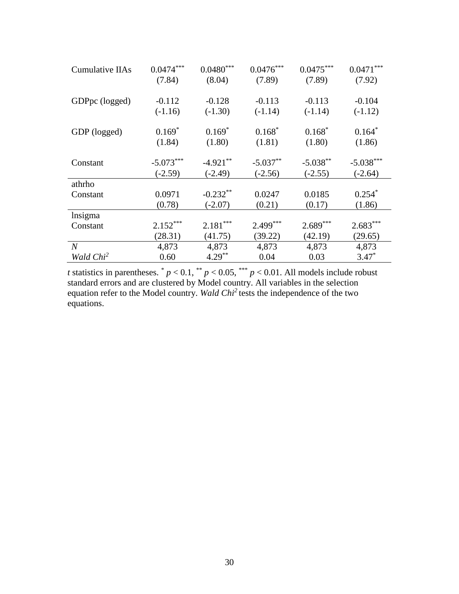| <b>Cumulative IIAs</b> | $0.0474***$ | $0.0480^{\ast\ast\ast}$ | $0.0476***$ | $0.0475***$ | $0.0471***$ |
|------------------------|-------------|-------------------------|-------------|-------------|-------------|
|                        | (7.84)      | (8.04)                  | (7.89)      | (7.89)      | (7.92)      |
|                        |             |                         |             |             |             |
| GDPpc (logged)         | $-0.112$    | $-0.128$                | $-0.113$    | $-0.113$    | $-0.104$    |
|                        | $(-1.16)$   | $(-1.30)$               | $(-1.14)$   | $(-1.14)$   | $(-1.12)$   |
| GDP (logged)           | $0.169*$    | $0.169*$                | $0.168*$    | $0.168*$    | $0.164*$    |
|                        | (1.84)      | (1.80)                  | (1.81)      | (1.80)      | (1.86)      |
|                        |             |                         |             |             |             |
| Constant               | $-5.073***$ | $-4.921***$             | $-5.037**$  | $-5.038**$  | $-5.038***$ |
|                        | $(-2.59)$   | $(-2.49)$               | $(-2.56)$   | $(-2.55)$   | $(-2.64)$   |
| athrho                 |             |                         |             |             |             |
| Constant               | 0.0971      | $-0.232**$              | 0.0247      | 0.0185      | $0.254*$    |
|                        | (0.78)      | $(-2.07)$               | (0.21)      | (0.17)      | (1.86)      |
| lnsigma                |             |                         |             |             |             |
| Constant               | $2.152***$  | $2.181***$              | $2.499***$  | $2.689***$  | $2.683***$  |
|                        | (28.31)     | (41.75)                 | (39.22)     | (42.19)     | (29.65)     |
| $\overline{N}$         | 4,873       | 4,873                   | 4,873       | 4,873       | 4,873       |
| Wald Chi <sup>2</sup>  | 0.60        | $4.29***$               | 0.04        | 0.03        | $3.47*$     |

*t* statistics in parentheses.  $p < 0.1$ ,  $p < 0.05$ ,  $p < 0.01$ . All models include robust standard errors and are clustered by Model country. All variables in the selection equation refer to the Model country. *Wald Chi<sup>2</sup>*tests the independence of the two equations.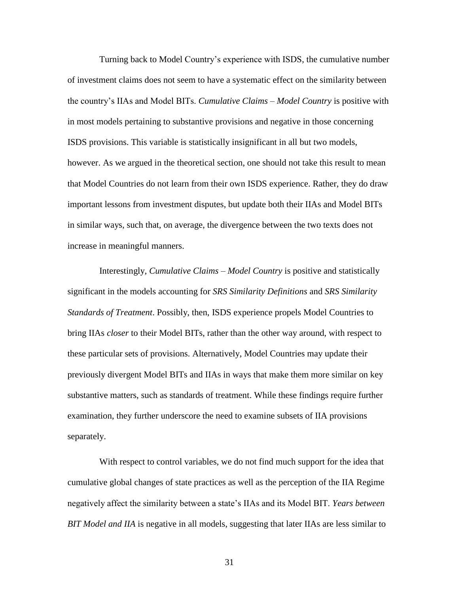Turning back to Model Country's experience with ISDS, the cumulative number of investment claims does not seem to have a systematic effect on the similarity between the country's IIAs and Model BITs. *Cumulative Claims – Model Country* is positive with in most models pertaining to substantive provisions and negative in those concerning ISDS provisions. This variable is statistically insignificant in all but two models, however. As we argued in the theoretical section, one should not take this result to mean that Model Countries do not learn from their own ISDS experience. Rather, they do draw important lessons from investment disputes, but update both their IIAs and Model BITs in similar ways, such that, on average, the divergence between the two texts does not increase in meaningful manners.

Interestingly, *Cumulative Claims – Model Country* is positive and statistically significant in the models accounting for *SRS Similarity Definitions* and *SRS Similarity Standards of Treatment*. Possibly, then, ISDS experience propels Model Countries to bring IIAs *closer* to their Model BITs, rather than the other way around, with respect to these particular sets of provisions. Alternatively, Model Countries may update their previously divergent Model BITs and IIAs in ways that make them more similar on key substantive matters, such as standards of treatment. While these findings require further examination, they further underscore the need to examine subsets of IIA provisions separately.

With respect to control variables, we do not find much support for the idea that cumulative global changes of state practices as well as the perception of the IIA Regime negatively affect the similarity between a state's IIAs and its Model BIT. *Years between BIT Model and IIA* is negative in all models, suggesting that later IIAs are less similar to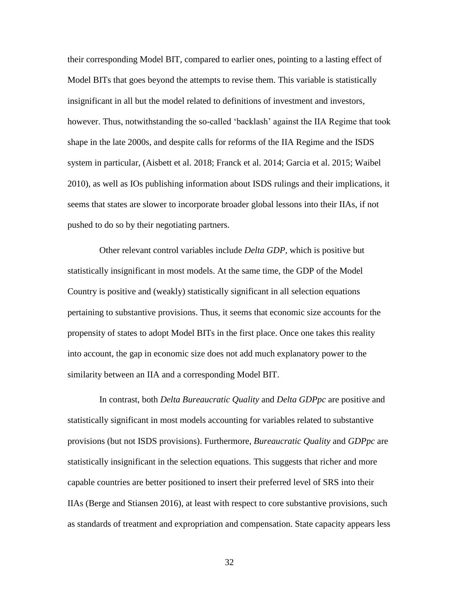their corresponding Model BIT, compared to earlier ones, pointing to a lasting effect of Model BITs that goes beyond the attempts to revise them. This variable is statistically insignificant in all but the model related to definitions of investment and investors, however. Thus, notwithstanding the so-called 'backlash' against the IIA Regime that took shape in the late 2000s, and despite calls for reforms of the IIA Regime and the ISDS system in particular, (Aisbett et al. 2018; Franck et al. 2014; Garcia et al. 2015; Waibel 2010), as well as IOs publishing information about ISDS rulings and their implications, it seems that states are slower to incorporate broader global lessons into their IIAs, if not pushed to do so by their negotiating partners.

Other relevant control variables include *Delta GDP*, which is positive but statistically insignificant in most models. At the same time, the GDP of the Model Country is positive and (weakly) statistically significant in all selection equations pertaining to substantive provisions. Thus, it seems that economic size accounts for the propensity of states to adopt Model BITs in the first place. Once one takes this reality into account, the gap in economic size does not add much explanatory power to the similarity between an IIA and a corresponding Model BIT.

In contrast, both *Delta Bureaucratic Quality* and *Delta GDPpc* are positive and statistically significant in most models accounting for variables related to substantive provisions (but not ISDS provisions). Furthermore, *Bureaucratic Quality* and *GDPpc* are statistically insignificant in the selection equations. This suggests that richer and more capable countries are better positioned to insert their preferred level of SRS into their IIAs (Berge and Stiansen 2016), at least with respect to core substantive provisions, such as standards of treatment and expropriation and compensation. State capacity appears less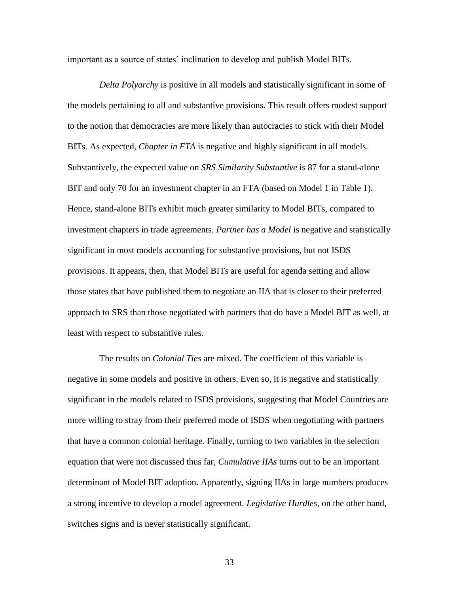important as a source of states' inclination to develop and publish Model BITs.

*Delta Polyarchy* is positive in all models and statistically significant in some of the models pertaining to all and substantive provisions. This result offers modest support to the notion that democracies are more likely than autocracies to stick with their Model BITs. As expected, *Chapter in FTA* is negative and highly significant in all models. Substantively, the expected value on *SRS Similarity Substantive* is 87 for a stand-alone BIT and only 70 for an investment chapter in an FTA (based on Model 1 in Table 1). Hence, stand-alone BITs exhibit much greater similarity to Model BITs, compared to investment chapters in trade agreements. *Partner has a Model* is negative and statistically significant in most models accounting for substantive provisions, but not ISDS provisions. It appears, then, that Model BITs are useful for agenda setting and allow those states that have published them to negotiate an IIA that is closer to their preferred approach to SRS than those negotiated with partners that do have a Model BIT as well, at least with respect to substantive rules.

The results on *Colonial Ties* are mixed. The coefficient of this variable is negative in some models and positive in others. Even so, it is negative and statistically significant in the models related to ISDS provisions, suggesting that Model Countries are more willing to stray from their preferred mode of ISDS when negotiating with partners that have a common colonial heritage. Finally, turning to two variables in the selection equation that were not discussed thus far, *Cumulative IIAs* turns out to be an important determinant of Model BIT adoption. Apparently, signing IIAs in large numbers produces a strong incentive to develop a model agreement. *Legislative Hurdles*, on the other hand, switches signs and is never statistically significant.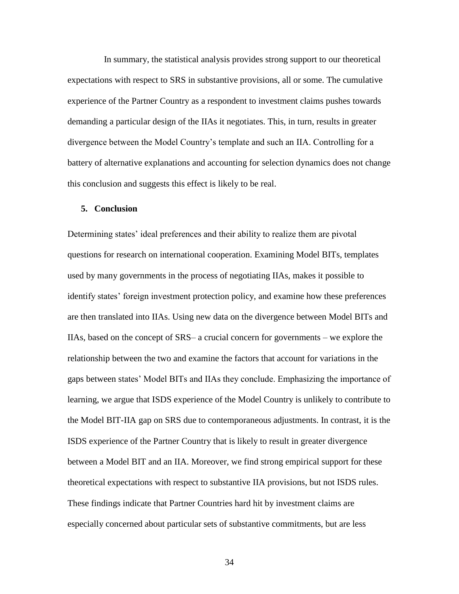In summary, the statistical analysis provides strong support to our theoretical expectations with respect to SRS in substantive provisions, all or some. The cumulative experience of the Partner Country as a respondent to investment claims pushes towards demanding a particular design of the IIAs it negotiates. This, in turn, results in greater divergence between the Model Country's template and such an IIA. Controlling for a battery of alternative explanations and accounting for selection dynamics does not change this conclusion and suggests this effect is likely to be real.

## **5. Conclusion**

Determining states' ideal preferences and their ability to realize them are pivotal questions for research on international cooperation. Examining Model BITs, templates used by many governments in the process of negotiating IIAs, makes it possible to identify states' foreign investment protection policy, and examine how these preferences are then translated into IIAs. Using new data on the divergence between Model BITs and IIAs, based on the concept of SRS– a crucial concern for governments – we explore the relationship between the two and examine the factors that account for variations in the gaps between states' Model BITs and IIAs they conclude. Emphasizing the importance of learning, we argue that ISDS experience of the Model Country is unlikely to contribute to the Model BIT-IIA gap on SRS due to contemporaneous adjustments. In contrast, it is the ISDS experience of the Partner Country that is likely to result in greater divergence between a Model BIT and an IIA. Moreover, we find strong empirical support for these theoretical expectations with respect to substantive IIA provisions, but not ISDS rules. These findings indicate that Partner Countries hard hit by investment claims are especially concerned about particular sets of substantive commitments, but are less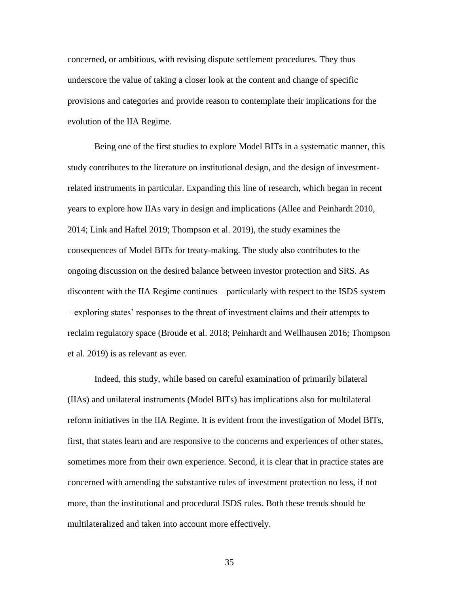concerned, or ambitious, with revising dispute settlement procedures. They thus underscore the value of taking a closer look at the content and change of specific provisions and categories and provide reason to contemplate their implications for the evolution of the IIA Regime.

Being one of the first studies to explore Model BITs in a systematic manner, this study contributes to the literature on institutional design, and the design of investmentrelated instruments in particular. Expanding this line of research, which began in recent years to explore how IIAs vary in design and implications (Allee and Peinhardt 2010, 2014; Link and Haftel 2019; Thompson et al. 2019), the study examines the consequences of Model BITs for treaty-making. The study also contributes to the ongoing discussion on the desired balance between investor protection and SRS. As discontent with the IIA Regime continues – particularly with respect to the ISDS system – exploring states' responses to the threat of investment claims and their attempts to reclaim regulatory space (Broude et al. 2018; Peinhardt and Wellhausen 2016; Thompson et al. 2019) is as relevant as ever.

Indeed, this study, while based on careful examination of primarily bilateral (IIAs) and unilateral instruments (Model BITs) has implications also for multilateral reform initiatives in the IIA Regime. It is evident from the investigation of Model BITs, first, that states learn and are responsive to the concerns and experiences of other states, sometimes more from their own experience. Second, it is clear that in practice states are concerned with amending the substantive rules of investment protection no less, if not more, than the institutional and procedural ISDS rules. Both these trends should be multilateralized and taken into account more effectively.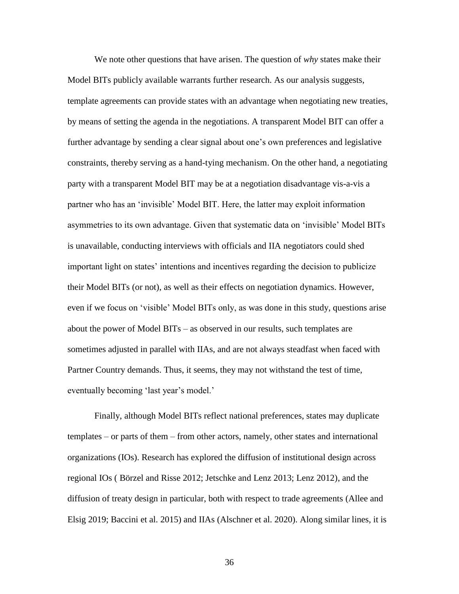We note other questions that have arisen. The question of *why* states make their Model BITs publicly available warrants further research. As our analysis suggests, template agreements can provide states with an advantage when negotiating new treaties, by means of setting the agenda in the negotiations. A transparent Model BIT can offer a further advantage by sending a clear signal about one's own preferences and legislative constraints, thereby serving as a hand-tying mechanism. On the other hand, a negotiating party with a transparent Model BIT may be at a negotiation disadvantage vis-a-vis a partner who has an 'invisible' Model BIT. Here, the latter may exploit information asymmetries to its own advantage. Given that systematic data on 'invisible' Model BITs is unavailable, conducting interviews with officials and IIA negotiators could shed important light on states' intentions and incentives regarding the decision to publicize their Model BITs (or not), as well as their effects on negotiation dynamics. However, even if we focus on 'visible' Model BITs only, as was done in this study, questions arise about the power of Model BITs – as observed in our results, such templates are sometimes adjusted in parallel with IIAs, and are not always steadfast when faced with Partner Country demands. Thus, it seems, they may not withstand the test of time, eventually becoming 'last year's model.'

Finally, although Model BITs reflect national preferences, states may duplicate templates – or parts of them – from other actors, namely, other states and international organizations (IOs). Research has explored the diffusion of institutional design across regional IOs ( Börzel and Risse 2012; Jetschke and Lenz 2013; Lenz 2012), and the diffusion of treaty design in particular, both with respect to trade agreements (Allee and Elsig 2019; Baccini et al. 2015) and IIAs (Alschner et al. 2020). Along similar lines, it is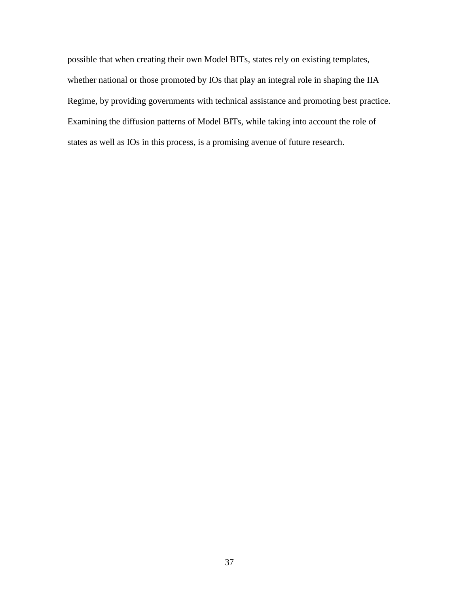possible that when creating their own Model BITs, states rely on existing templates, whether national or those promoted by IOs that play an integral role in shaping the IIA Regime, by providing governments with technical assistance and promoting best practice. Examining the diffusion patterns of Model BITs, while taking into account the role of states as well as IOs in this process, is a promising avenue of future research.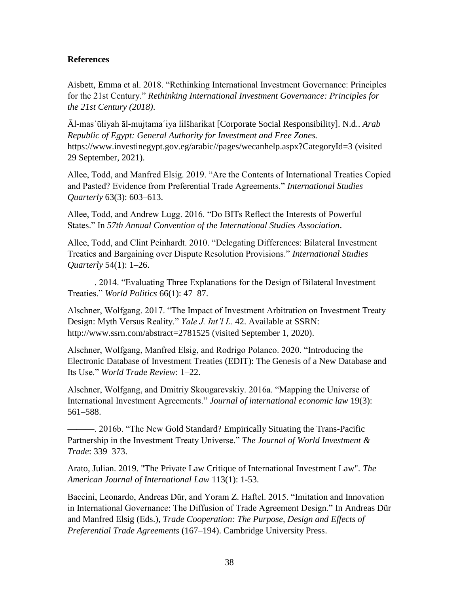# **References**

Aisbett, Emma et al. 2018. "Rethinking International Investment Governance: Principles for the 21st Century." *Rethinking International Investment Governance: Principles for the 21st Century (2018)*.

Āl-masʾūliyah āl-mujtamaʿiya lilšharikat [Corporate Social Responsibility]. N.d.. *Arab Republic of Egypt: General Authority for Investment and Free Zones.*  https://www.investinegypt.gov.eg/arabic//pages/wecanhelp.aspx?CategoryId=3 (visited 29 September, 2021).

Allee, Todd, and Manfred Elsig. 2019. "Are the Contents of International Treaties Copied and Pasted? Evidence from Preferential Trade Agreements." *International Studies Quarterly* 63(3): 603–613.

Allee, Todd, and Andrew Lugg. 2016. "Do BITs Reflect the Interests of Powerful States." In *57th Annual Convention of the International Studies Association*.

Allee, Todd, and Clint Peinhardt. 2010. "Delegating Differences: Bilateral Investment Treaties and Bargaining over Dispute Resolution Provisions." *International Studies Quarterly* 54(1): 1–26.

———. 2014. "Evaluating Three Explanations for the Design of Bilateral Investment Treaties." *World Politics* 66(1): 47–87.

Alschner, Wolfgang. 2017. "The Impact of Investment Arbitration on Investment Treaty Design: Myth Versus Reality." *Yale J. Int'l L.* 42. Available at SSRN: http://www.ssrn.com/abstract=2781525 (visited September 1, 2020).

Alschner, Wolfgang, Manfred Elsig, and Rodrigo Polanco. 2020. "Introducing the Electronic Database of Investment Treaties (EDIT): The Genesis of a New Database and Its Use." *World Trade Review*: 1–22.

Alschner, Wolfgang, and Dmitriy Skougarevskiy. 2016a. "Mapping the Universe of International Investment Agreements." *Journal of international economic law* 19(3): 561–588.

———. 2016b. "The New Gold Standard? Empirically Situating the Trans-Pacific Partnership in the Investment Treaty Universe." *The Journal of World Investment & Trade*: 339–373.

Arato, Julian. 2019. "The Private Law Critique of International Investment Law". *The American Journal of International Law* 113(1): 1-53.

Baccini, Leonardo, Andreas Dür, and Yoram Z. Haftel. 2015. "Imitation and Innovation in International Governance: The Diffusion of Trade Agreement Design." In Andreas Dür and Manfred Elsig (Eds.), *Trade Cooperation: The Purpose, Design and Effects of Preferential Trade Agreements* (167–194). Cambridge University Press.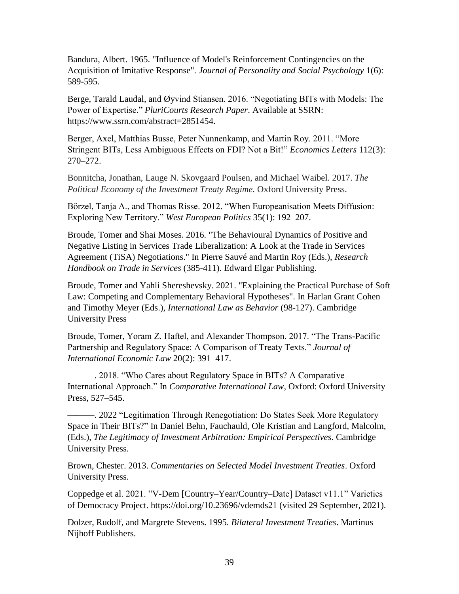Bandura, Albert. 1965. "Influence of Model's Reinforcement Contingencies on the Acquisition of Imitative Response". *Journal of Personality and Social Psychology* 1(6): 589-595.

Berge, Tarald Laudal, and Øyvind Stiansen. 2016. "Negotiating BITs with Models: The Power of Expertise." *PluriCourts Research Paper*. Available at SSRN: https://www.ssrn.com/abstract=2851454.

Berger, Axel, Matthias Busse, Peter Nunnenkamp, and Martin Roy. 2011. "More Stringent BITs, Less Ambiguous Effects on FDI? Not a Bit!" *Economics Letters* 112(3): 270–272.

Bonnitcha, Jonathan, Lauge N. Skovgaard Poulsen, and Michael Waibel. 2017. *The*  Political Economy of the Investment Treaty Regime. Oxford University Press.

Börzel, Tanja A., and Thomas Risse. 2012. "When Europeanisation Meets Diffusion: Exploring New Territory." *West European Politics* 35(1): 192–207.

Broude, Tomer and Shai Moses. 2016. "The Behavioural Dynamics of Positive and Negative Listing in Services Trade Liberalization: A Look at the Trade in Services Agreement (TiSA) Negotiations." In Pierre Sauvé and Martin Roy (Eds.), *Research Handbook on Trade in Services* (385-411). Edward Elgar Publishing.

Broude, Tomer and Yahli Shereshevsky. 2021. "Explaining the Practical Purchase of Soft Law: Competing and Complementary Behavioral Hypotheses". In Harlan Grant Cohen and Timothy Meyer (Eds.), *International Law as Behavior* (98-127). Cambridge University Press

Broude, Tomer, Yoram Z. Haftel, and Alexander Thompson. 2017. "The Trans-Pacific Partnership and Regulatory Space: A Comparison of Treaty Texts." *Journal of International Economic Law* 20(2): 391–417.

———. 2018. "Who Cares about Regulatory Space in BITs? A Comparative International Approach." In *Comparative International Law*, Oxford: Oxford University Press, 527–545.

———. 2022 "Legitimation Through Renegotiation: Do States Seek More Regulatory Space in Their BITs?" In Daniel Behn, Fauchauld, Ole Kristian and Langford, Malcolm, (Eds.), *The Legitimacy of Investment Arbitration: Empirical Perspectives*. Cambridge University Press.

Brown, Chester. 2013. *Commentaries on Selected Model Investment Treaties*. Oxford University Press.

Coppedge et al. 2021. "V-Dem [Country–Year/Country–Date] Dataset v11.1" Varieties of Democracy Project. https://doi.org/10.23696/vdemds21 (visited 29 September, 2021).

Dolzer, Rudolf, and Margrete Stevens. 1995. *Bilateral Investment Treaties*. Martinus Nijhoff Publishers.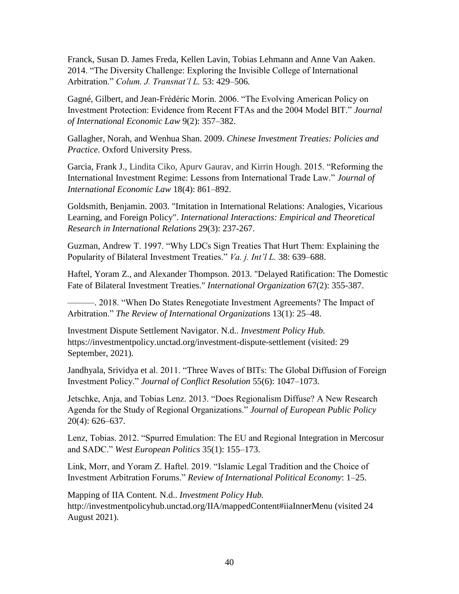Franck, Susan D. James Freda, Kellen Lavin, Tobias Lehmann and Anne Van Aaken. 2014. "The Diversity Challenge: Exploring the Invisible College of International Arbitration." *Colum. J. Transnat'l L.* 53: 429–506.

Gagné, Gilbert, and Jean-Frédéric Morin. 2006. "The Evolving American Policy on Investment Protection: Evidence from Recent FTAs and the 2004 Model BIT." *Journal of International Economic Law* 9(2): 357–382.

Gallagher, Norah, and Wenhua Shan. 2009. *Chinese Investment Treaties: Policies and Practice*. Oxford University Press.

Garcia, Frank J., Lindita Ciko, Apurv Gaurav, and Kirrin Hough. 2015. "Reforming the International Investment Regime: Lessons from International Trade Law." *Journal of International Economic Law* 18(4): 861–892.

Goldsmith, Benjamin. 2003. "Imitation in International Relations: Analogies, Vicarious Learning, and Foreign Policy". *International Interactions: Empirical and Theoretical Research in International Relations* 29(3): 237-267.

Guzman, Andrew T. 1997. "Why LDCs Sign Treaties That Hurt Them: Explaining the Popularity of Bilateral Investment Treaties." *Va. j. Int'l L.* 38: 639–688.

Haftel, Yoram Z., and Alexander Thompson. 2013. "Delayed Ratification: The Domestic Fate of Bilateral Investment Treaties." *International Organization* 67(2): 355-387.

———. 2018. "When Do States Renegotiate Investment Agreements? The Impact of Arbitration." *The Review of International Organizations* 13(1): 25–48.

Investment Dispute Settlement Navigator. N.d.. *Investment Policy Hub.*  https://investmentpolicy.unctad.org/investment-dispute-settlement (visited: 29 September, 2021).

Jandhyala, Srividya et al. 2011. "Three Waves of BITs: The Global Diffusion of Foreign Investment Policy." *Journal of Conflict Resolution* 55(6): 1047–1073.

Jetschke, Anja, and Tobias Lenz. 2013. "Does Regionalism Diffuse? A New Research Agenda for the Study of Regional Organizations." *Journal of European Public Policy* 20(4): 626–637.

Lenz, Tobias. 2012. "Spurred Emulation: The EU and Regional Integration in Mercosur and SADC." *West European Politics* 35(1): 155–173.

Link, Morr, and Yoram Z. Haftel. 2019. "Islamic Legal Tradition and the Choice of Investment Arbitration Forums." *Review of International Political Economy*: 1–25.

Mapping of IIA Content*.* N.d.. *Investment Policy Hub.*  http://investmentpolicyhub.unctad.org/IIA/mappedContent#iiaInnerMenu (visited 24 August 2021).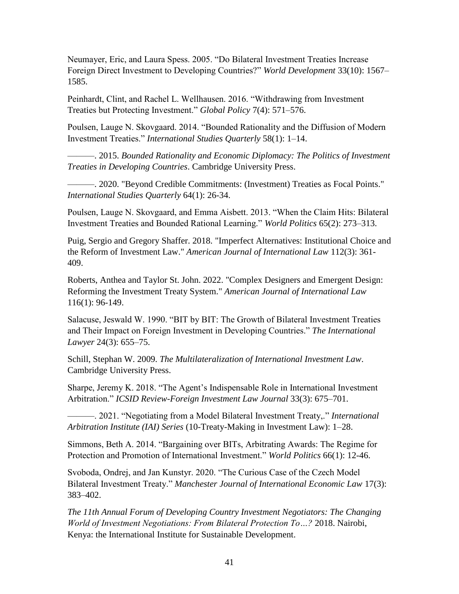Neumayer, Eric, and Laura Spess. 2005. "Do Bilateral Investment Treaties Increase Foreign Direct Investment to Developing Countries?" *World Development* 33(10): 1567– 1585.

Peinhardt, Clint, and Rachel L. Wellhausen. 2016. "Withdrawing from Investment Treaties but Protecting Investment." *Global Policy* 7(4): 571–576.

Poulsen, Lauge N. Skovgaard. 2014. "Bounded Rationality and the Diffusion of Modern Investment Treaties." *International Studies Quarterly* 58(1): 1–14.

———. 2015. *Bounded Rationality and Economic Diplomacy: The Politics of Investment Treaties in Developing Countries*. Cambridge University Press.

———. 2020. "Beyond Credible Commitments: (Investment) Treaties as Focal Points." *International Studies Quarterly* 64(1): 26-34.

Poulsen, Lauge N. Skovgaard, and Emma Aisbett. 2013. "When the Claim Hits: Bilateral Investment Treaties and Bounded Rational Learning." *World Politics* 65(2): 273–313.

Puig, Sergio and Gregory Shaffer. 2018. "Imperfect Alternatives: Institutional Choice and the Reform of Investment Law." *American Journal of International Law* 112(3): 361- 409.

Roberts, Anthea and Taylor St. John. 2022. "Complex Designers and Emergent Design: Reforming the Investment Treaty System." *American Journal of International Law* 116(1): 96-149.

Salacuse, Jeswald W. 1990. "BIT by BIT: The Growth of Bilateral Investment Treaties and Their Impact on Foreign Investment in Developing Countries." *The International Lawyer* 24(3): 655–75.

Schill, Stephan W. 2009. *The Multilateralization of International Investment Law*. Cambridge University Press.

Sharpe, Jeremy K. 2018. "The Agent's Indispensable Role in International Investment Arbitration." *ICSID Review-Foreign Investment Law Journal* 33(3): 675–701.

———. 2021. "Negotiating from a Model Bilateral Investment Treaty,." *International Arbitration Institute (IAI) Series* (10-Treaty-Making in Investment Law): 1–28.

Simmons, Beth A. 2014. "Bargaining over BITs, Arbitrating Awards: The Regime for Protection and Promotion of International Investment." *World Politics* 66(1): 12-46.

Svoboda, Ondrej, and Jan Kunstyr. 2020. "The Curious Case of the Czech Model Bilateral Investment Treaty." *Manchester Journal of International Economic Law* 17(3): 383–402.

*The 11th Annual Forum of Developing Country Investment Negotiators: The Changing World of Investment Negotiations: From Bilateral Protection To…?* 2018. Nairobi, Kenya: the International Institute for Sustainable Development.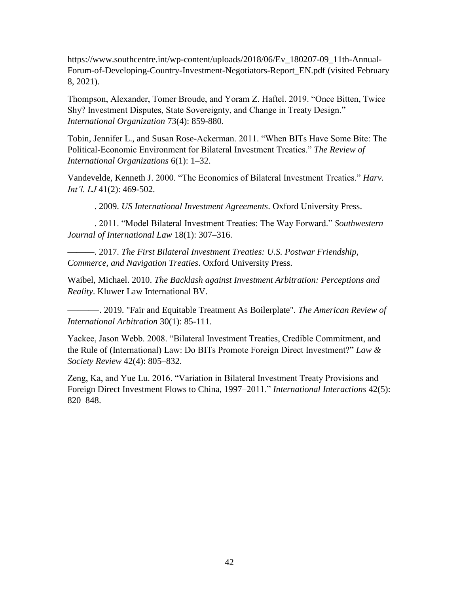https://www.southcentre.int/wp-content/uploads/2018/06/Ev\_180207-09\_11th-Annual-Forum-of-Developing-Country-Investment-Negotiators-Report\_EN.pdf (visited February 8, 2021).

Thompson, Alexander, Tomer Broude, and Yoram Z. Haftel. 2019. "Once Bitten, Twice Shy? Investment Disputes, State Sovereignty, and Change in Treaty Design." *International Organization* 73(4): 859-880.

Tobin, Jennifer L., and Susan Rose-Ackerman. 2011. "When BITs Have Some Bite: The Political-Economic Environment for Bilateral Investment Treaties." *The Review of International Organizations* 6(1): 1–32.

Vandevelde, Kenneth J. 2000. "The Economics of Bilateral Investment Treaties." *Harv. Int'l. LJ* 41(2): 469-502.

———. 2009. *US International Investment Agreements*. Oxford University Press.

———. 2011. "Model Bilateral Investment Treaties: The Way Forward." *Southwestern Journal of International Law* 18(1): 307–316.

———. 2017. *The First Bilateral Investment Treaties: U.S. Postwar Friendship, Commerce, and Navigation Treaties*. Oxford University Press.

Waibel, Michael. 2010. *The Backlash against Investment Arbitration: Perceptions and Reality*. Kluwer Law International BV.

———. 2019. "Fair and Equitable Treatment As Boilerplate". *The American Review of International Arbitration* 30(1): 85-111.

Yackee, Jason Webb. 2008. "Bilateral Investment Treaties, Credible Commitment, and the Rule of (International) Law: Do BITs Promote Foreign Direct Investment?" *Law & Society Review* 42(4): 805–832.

Zeng, Ka, and Yue Lu. 2016. "Variation in Bilateral Investment Treaty Provisions and Foreign Direct Investment Flows to China, 1997–2011." *International Interactions* 42(5): 820–848.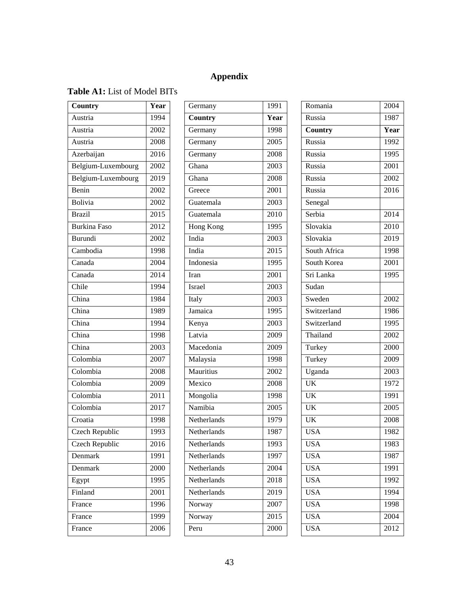# **Appendix**

# **Table A1:** List of Model BITs

| Country               | Year              |
|-----------------------|-------------------|
| Austria               | 1994              |
| Austria               | 2002              |
| Austria               | 2008              |
| Azerbaijan            | 2016              |
| Belgium-Luxembourg    | 2002              |
| Belgium-Luxembourg    | 2019              |
| Benin                 | 2002              |
| Bolivia               | 2002              |
| <b>Brazil</b>         | $\overline{2015}$ |
| <b>Burkina Faso</b>   | 2012              |
| <b>Burundi</b>        | 2002              |
| Cambodia              | 1998              |
| Canada                | 2004              |
| Canada                | $201\overline{4}$ |
| Chile                 | 1994              |
| China                 | 1984              |
| China                 | 1989              |
| China                 | 1994              |
| China                 | 1998              |
| China                 | 2003              |
| Colombia              | 2007              |
| Colombia              | 2008              |
| Colombia              | 2009              |
| Colombia              | 2011              |
| Colombia              | 2017              |
| Croatia               | 1998              |
| <b>Czech Republic</b> | 1993              |
| Czech Republic        | 2016              |
| Denmark               | 1991              |
| Denmark               | 2000              |
| Egypt                 | 1995              |
| Finland               | 2001              |
| France                | 1996              |
| France                | 1999              |
| France                | 2006              |

| Germany          | 1991             |
|------------------|------------------|
| Country          | Year             |
| Germany          | 1998             |
| Germany          | $\frac{2005}{ }$ |
| Germany          | 2008             |
| Ghana            | 2003             |
| Ghana            | 2008             |
| Greece           | 2001             |
| Guatemala        | 2003             |
| Guatemala        | $\frac{2010}{ }$ |
| <b>Hong Kong</b> | 1995             |
| India            | 2003             |
| India            | 2015             |
| Indonesia        | 1995             |
| Iran             | 2001             |
| Israel           | 2003             |
| Italy            | 2003             |
| Jamaica          | 1995             |
| Kenya            | 2003             |
| Latvia           | 2009             |
| Macedonia        | 2009             |
| Malaysia         | 1998             |
| Mauritius        | 2002             |
| Mexico           | 2008             |
| Mongolia         | 1998             |
| Namibia          | $\frac{2005}{ }$ |
| Netherlands      | 1979             |
| Netherlands      | 1987             |
| Netherlands      | 1993             |
| Netherlands      | 1997             |
| Netherlands      | 2004             |
| Netherlands      | 2018             |
| Netherlands      | 2019             |
| Norway           | 2007             |
| Norway           | 2015             |
| Peru             | 2000             |
|                  |                  |

| Romania                | 2004              |
|------------------------|-------------------|
| Russia                 | 1987              |
| Country                | Year              |
| Russia                 | 1992              |
| Russia                 | 1995              |
| Russia                 | 2001              |
| Russia                 | 2002              |
| Russia                 | 2016              |
| Senegal                |                   |
| Serbia                 | 2014              |
| Slovakia               | 2010              |
| Slovakia               | 2019              |
| South Africa           | 1998              |
| South Korea            | 2001              |
| Sri Lanka              | 1995              |
| Sudan                  |                   |
| Sweden                 | 2002              |
| Switzerland            | 1986              |
| Switzerland            | 1995              |
| Thailand               | 2002              |
| Turkey                 | 2000              |
| Turkey                 | 2009              |
| Uganda                 | $\overline{2003}$ |
| $\overline{UK}$        | 1972              |
| $\overline{\text{UK}}$ | 1991              |
| UK                     | $\frac{2005}{ }$  |
| UK                     | 2008              |
| <b>USA</b>             | 1982              |
| <b>USA</b>             | 1983              |
| <b>USA</b>             | 1987              |
| <b>USA</b>             | 1991              |
| <b>USA</b>             | 1992              |
| <b>USA</b>             | 1994              |
| <b>USA</b>             | 1998              |
| <b>USA</b>             | 2004              |
| <b>USA</b>             | 2012              |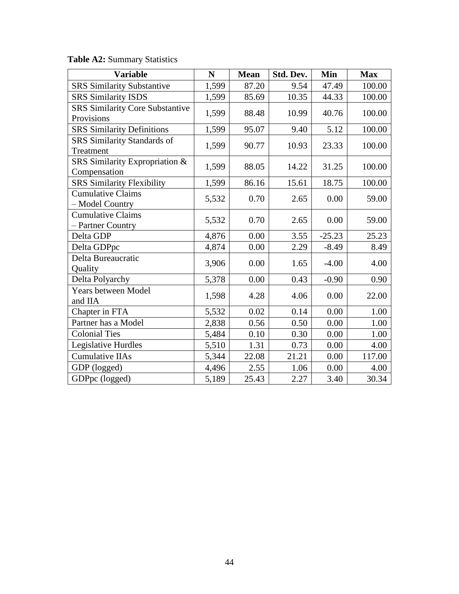|  | <b>Table A2: Summary Statistics</b> |  |
|--|-------------------------------------|--|
|--|-------------------------------------|--|

| <b>Variable</b>                                      | N     | <b>Mean</b> | Std. Dev. | Min      | <b>Max</b> |
|------------------------------------------------------|-------|-------------|-----------|----------|------------|
| <b>SRS Similarity Substantive</b>                    | 1,599 | 87.20       | 9.54      | 47.49    | 100.00     |
| <b>SRS Similarity ISDS</b>                           | 1,599 | 85.69       | 10.35     | 44.33    | 100.00     |
| <b>SRS Similarity Core Substantive</b><br>Provisions | 1,599 | 88.48       | 10.99     | 40.76    | 100.00     |
| <b>SRS Similarity Definitions</b>                    | 1,599 | 95.07       | 9.40      | 5.12     | 100.00     |
| SRS Similarity Standards of<br>Treatment             | 1,599 | 90.77       | 10.93     | 23.33    | 100.00     |
| SRS Similarity Expropriation &<br>Compensation       | 1,599 | 88.05       | 14.22     | 31.25    | 100.00     |
| <b>SRS Similarity Flexibility</b>                    | 1,599 | 86.16       | 15.61     | 18.75    | 100.00     |
| <b>Cumulative Claims</b><br>- Model Country          | 5,532 | 0.70        | 2.65      | 0.00     | 59.00      |
| <b>Cumulative Claims</b><br>- Partner Country        | 5,532 | 0.70        | 2.65      | 0.00     | 59.00      |
| Delta GDP                                            | 4,876 | 0.00        | 3.55      | $-25.23$ | 25.23      |
| Delta GDPpc                                          | 4,874 | 0.00        | 2.29      | $-8.49$  | 8.49       |
| Delta Bureaucratic<br>Quality                        | 3,906 | 0.00        | 1.65      | $-4.00$  | 4.00       |
| Delta Polyarchy                                      | 5,378 | 0.00        | 0.43      | $-0.90$  | 0.90       |
| Years between Model<br>and IIA                       | 1,598 | 4.28        | 4.06      | 0.00     | 22.00      |
| Chapter in FTA                                       | 5,532 | 0.02        | 0.14      | 0.00     | 1.00       |
| Partner has a Model                                  | 2,838 | 0.56        | 0.50      | 0.00     | 1.00       |
| <b>Colonial Ties</b>                                 | 5,484 | 0.10        | 0.30      | 0.00     | 1.00       |
| Legislative Hurdles                                  | 5,510 | 1.31        | 0.73      | 0.00     | 4.00       |
| <b>Cumulative IIAs</b>                               | 5,344 | 22.08       | 21.21     | 0.00     | 117.00     |
| GDP (logged)                                         | 4,496 | 2.55        | 1.06      | 0.00     | 4.00       |
| GDPpc (logged)                                       | 5,189 | 25.43       | 2.27      | 3.40     | 30.34      |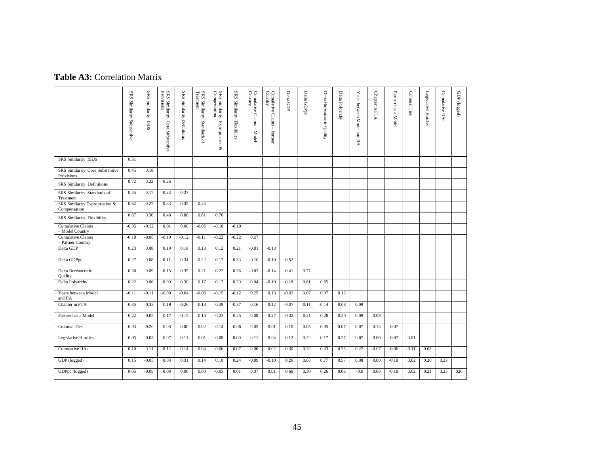# **Table A3:** Correlation Matrix

|                                                | SRS Similarity Substantive | SRS Similarity<br><b>ISDS</b> | SRS Similarity<br>Provisions<br>Core Substantive | SRS Similarity Definitions | SRS Similarity<br>Treatment<br>Standards of | SRS Similarity<br>Compensation<br>Expropriation<br>Š. | SRS Similarity<br>Flexibility | Cumulative Claims – Model<br>Country | Cumulative Claims<br>Country<br>$\blacksquare$<br>Partner | Delta GDP | Delta GDPpc | Delta Bureaucratic Quality | Delta Polyarchy | Years between Model and<br>УII | Chapter in FTA | Partner has a Model | Colonial Ties | Legislative Hurdles | Cumulative IIAs | GDP (logged) |
|------------------------------------------------|----------------------------|-------------------------------|--------------------------------------------------|----------------------------|---------------------------------------------|-------------------------------------------------------|-------------------------------|--------------------------------------|-----------------------------------------------------------|-----------|-------------|----------------------------|-----------------|--------------------------------|----------------|---------------------|---------------|---------------------|-----------------|--------------|
| <b>SRS</b> Similarity ISDS                     | 0.31                       |                               |                                                  |                            |                                             |                                                       |                               |                                      |                                                           |           |             |                            |                 |                                |                |                     |               |                     |                 |              |
| SRS Similarity Core Substantive<br>Provisions  | 0.45                       | 0.18                          |                                                  |                            |                                             |                                                       |                               |                                      |                                                           |           |             |                            |                 |                                |                |                     |               |                     |                 |              |
| SRS Similarity Definitions                     | 0.72                       | 0.22                          | 0.26                                             |                            |                                             |                                                       |                               |                                      |                                                           |           |             |                            |                 |                                |                |                     |               |                     |                 |              |
| SRS Similarity Standards of<br>Treatment       | 0.55                       | 0.17                          | 0.23                                             | 0.37                       |                                             |                                                       |                               |                                      |                                                           |           |             |                            |                 |                                |                |                     |               |                     |                 |              |
| SRS Similarity Expropriation &<br>Compensation | 0.62                       | 0.27                          | 0.33                                             | 0.35                       | 0.24                                        |                                                       |                               |                                      |                                                           |           |             |                            |                 |                                |                |                     |               |                     |                 |              |
| SRS Similarity Flexibility                     | 0.87                       | 0.30                          | 0.48                                             | 0.80                       | 0.61                                        | 0.76                                                  |                               |                                      |                                                           |           |             |                            |                 |                                |                |                     |               |                     |                 |              |
| <b>Cumulative Claims</b><br>- Model Country    | $-0.05$                    | $-0.12$                       | 0.01                                             | 0.00                       | $-0.05$                                     | $-0.18$                                               | $-0.10$                       |                                      |                                                           |           |             |                            |                 |                                |                |                     |               |                     |                 |              |
| <b>Cumulative Claims</b><br>- Partner Country  | $-0.18$                    | $-0.08$                       | $-0.19$                                          | $-0.12$                    | $-0.11$                                     | $-0.22$                                               | $-0.22$                       | 0.27                                 |                                                           |           |             |                            |                 |                                |                |                     |               |                     |                 |              |
| Delta GDP                                      | 0.23                       | 0.08                          | 0.19                                             | 0.18                       | 0.13                                        | 0.12                                                  | 0.21                          | $-0.01$                              | $-0.13$                                                   |           |             |                            |                 |                                |                |                     |               |                     |                 |              |
| Delta GDPpc                                    | 0.27                       | 0.08                          | 0.11                                             | 0.34                       | 0.22                                        | 0.17                                                  | 0.33                          | $-0.10$                              | $-0.10$                                                   | 0.52      |             |                            |                 |                                |                |                     |               |                     |                 |              |
| Delta Bureaucratic<br>Quality                  | 0.30                       | 0.09                          | 0.15                                             | 0.35                       | 0.21                                        | 0.22                                                  | 0.36                          | $-0.07$                              | $-0.14$                                                   | 0.41      | 0.77        |                            |                 |                                |                |                     |               |                     |                 |              |
| Delta Polyarchy                                | 0.22                       | 0.06                          | 0.09                                             | 0.30                       | 0.17                                        | 0.17                                                  | 0.29                          | 0.04                                 | $-0.10$                                                   | 0.18      | 0.61        | 0.65                       |                 |                                |                |                     |               |                     |                 |              |
| Years between Model<br>and IIA                 | $-0.11$                    | $-0.11$                       | $-0.09$                                          | $-0.04$                    | $-0.06$                                     | $-0.15$                                               | $-0.12$                       | 0.25                                 | 0.13                                                      | $-0.03$   | 0.07        | 0.07                       | 0.15            |                                |                |                     |               |                     |                 |              |
| Chapter in FTA                                 | $-0.35$                    | $-0.33$                       | $-0.19$                                          | $-0.26$                    | $-0.13$                                     | $-0.39$                                               | $-0.37$                       | 0.16                                 | 0.12                                                      | $-0.07$   | $-0.11$     | $-0.14$                    | $-0.08$         | 0.09                           |                |                     |               |                     |                 |              |
| Partner has a Model                            | $-0.22$                    | $-0.05$                       | $-0.17$                                          | $-0.15$                    | $-0.15$                                     | $-0.23$                                               | $-0.25$                       | 0.08                                 | 0.27                                                      | $-0.32$   | $-0.21$     | $-0.28$                    | $-0.20$         | 0.09                           | 0.09           |                     |               |                     |                 |              |
| <b>Colonial Ties</b>                           | $-0.03$                    | $-0.20$                       | $-0.03$                                          | 0.00                       | 0.02                                        | $-0.14$                                               | $-0.06$                       | 0.05                                 | $-0.01$                                                   | 0.10      | 0.05        | 0.05                       | 0.07            | 0.07                           | 0.13           | $-0.07$             |               |                     |                 |              |
| Legislative Hurdles                            | $-0.05$                    | $-0.03$                       | $-0.07$                                          | 0.11                       | $-0.01$                                     | $-0.08$                                               | 0.00                          | 0.11                                 | $-0.04$                                                   | 0.12      | 0.22        | 0.17                       | 0.27            | $-0.07$                        | 0.06           | $-0.07$             | 0.01          |                     |                 |              |
| Cumulative IIAs                                | 0.10                       | 0.11                          | 0.12                                             | 0.14                       | 0.04                                        | $-0.06$                                               | 0.07                          | 0.00                                 | 0.02                                                      | 0.30      | 0.32        | 0.33                       | 0.25            | 0.27                           | $-0.07$        | $-0.06$             | $-0.11$       | 0.03                |                 |              |
| GDP (logged)                                   | 0.15                       | $-0.05$                       | 0.03                                             | 0.31                       | 0.14                                        | 0.10                                                  | 0.24                          | $-0.09$                              | $-0.10$                                                   | 0.26      | 0.63        | 0.77                       | 0.57            | 0.08                           | 0.00           | $-0.18$             | 0.02          | 0.20                | 0.33            |              |
| GDPpc (logged)                                 | 0.05                       | $-0.08$                       | 0.08                                             | 0.06                       | 0.00                                        | $-0.05$                                               | 0.01                          | 0.07                                 | 0.01                                                      | 0.68      | 0.30        | 0.26                       | 0.06            | $-0.0$                         | 0.08           | $-0.18$             | 0.02          | 0.21                | 0.33            | 026          |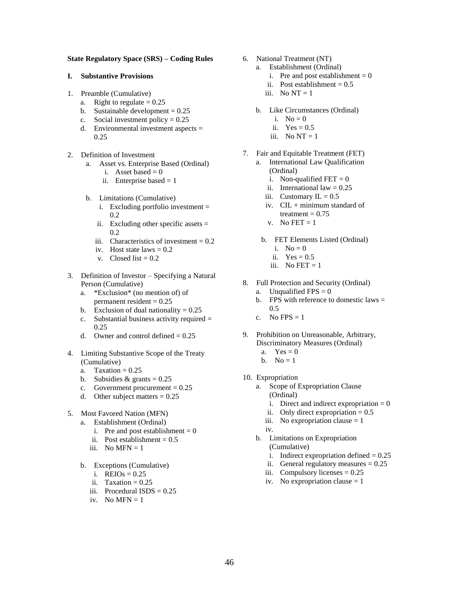## **State Regulatory Space (SRS) – Coding Rules**

#### **I. Substantive Provisions**

- 1. Preamble (Cumulative)
	- a. Right to regulate  $= 0.25$
	- b. Sustainable development  $= 0.25$
	- c. Social investment policy =  $0.25$
	- d. Environmental investment aspects = 0.25
- 2. Definition of Investment
	- a. Asset vs. Enterprise Based (Ordinal)
		- i. Asset based  $= 0$
		- ii. Enterprise based  $= 1$
	- b. Limitations (Cumulative)
		- i. Excluding portfolio investment = 0.2
		- ii. Excluding other specific assets  $=$ 0.2
		- iii. Characteristics of investment  $= 0.2$
		- iv. Host state laws  $= 0.2$
		- v. Closed list  $= 0.2$
- 3. Definition of Investor Specifying a Natural Person (Cumulative)
	- a. \*Exclusion\* (no mention of) of permanent resident  $= 0.25$
	- b. Exclusion of dual nationality  $= 0.25$
	- c. Substantial business activity required  $=$ 0.25
	- d. Owner and control defined  $= 0.25$
- 4. Limiting Substantive Scope of the Treaty (Cumulative)
	- a. Taxation =  $0.25$
	- b. Subsidies  $&$  grants = 0.25
	- c. Government procurement  $= 0.25$
	- d. Other subject matters  $= 0.25$
- 5. Most Favored Nation (MFN)
	- a. Establishment (Ordinal)
		- i. Pre and post establishment =  $0$
		- ii. Post establishment  $= 0.5$
		- iii. No MFN  $= 1$
	- b. Exceptions (Cumulative)
		- i. REIOs  $= 0.25$
		- ii. Taxation  $= 0.25$
		- iii. Procedural  $ISDS = 0.25$
		- iv. No MFN  $= 1$
- 6. National Treatment (NT)
	- a. Establishment (Ordinal)
		- i. Pre and post establishment  $= 0$
		- ii. Post establishment  $= 0.5$
		- iii. No  $NT = 1$
	- b. Like Circumstances (Ordinal)
		- i.  $No = 0$
		- ii.  $Yes = 0.5$
		- iii. No  $NT = 1$
- 7. Fair and Equitable Treatment (FET)
	- a. International Law Qualification (Ordinal)
		- i. Non-qualified  $FET = 0$
		- ii. International law  $= 0.25$
		- iii. Customary IL =  $0.5$
		- iv. CIL + minimum standard of treatment  $= 0.75$
		- v. No FET  $= 1$
		- b. FET Elements Listed (Ordinal)
			- i.  $No = 0$
			- ii.  $Yes = 0.5$
			- iii. No FET  $= 1$
- 8. Full Protection and Security (Ordinal)
	- a. Unqualified  $FPS = 0$
	- b. FPS with reference to domestic laws  $=$  $0.5$
	- c. No FPS =  $1$
- 9. Prohibition on Unreasonable, Arbitrary, Discriminatory Measures (Ordinal)
	- a.  $Yes = 0$
	- b. No  $= 1$
- 10. Expropriation
	- a. Scope of Expropriation Clause
		- (Ordinal)
		- i. Direct and indirect expropriation  $= 0$
		- ii. Only direct expropriation  $= 0.5$
		- iii. No expropriation clause  $= 1$
		- iv.
	- b. Limitations on Expropriation (Cumulative)
		-
		- i. Indirect expropriation defined  $= 0.25$
		- ii. General regulatory measures  $= 0.25$
		- iii. Compulsory licenses  $= 0.25$
		- iv. No expropriation clause  $= 1$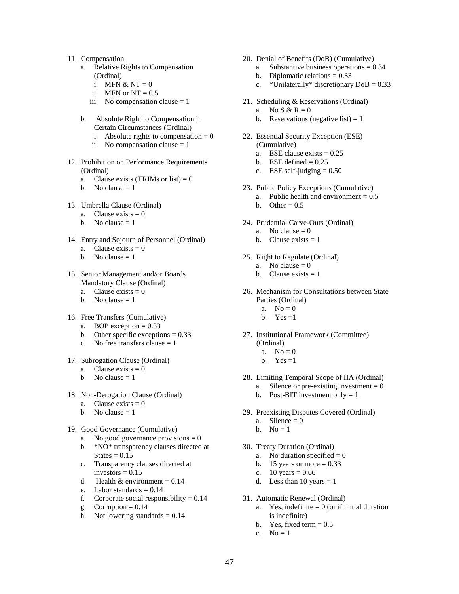- 11. Compensation
	- a. Relative Rights to Compensation (Ordinal)
		- i. MFN  $& NT = 0$
		- ii. MFN or  $NT = 0.5$
		- iii. No compensation clause  $= 1$
	- b. Absolute Right to Compensation in Certain Circumstances (Ordinal)
		- i. Absolute rights to compensation  $= 0$
		- ii. No compensation clause  $= 1$
- 12. Prohibition on Performance Requirements (Ordinal)
	- a. Clause exists (TRIMs or list) =  $0$
	- b. No clause  $= 1$
- 13. Umbrella Clause (Ordinal)
	- a. Clause exists  $= 0$
	- b. No clause  $= 1$
- 14. Entry and Sojourn of Personnel (Ordinal)
	- a. Clause exists  $= 0$
	- b. No clause  $= 1$
- 15. Senior Management and/or Boards Mandatory Clause (Ordinal)
	- a. Clause exists  $= 0$
	- b. No clause  $= 1$
- 16. Free Transfers (Cumulative)
	- a. BOP exception  $= 0.33$
	- b. Other specific exceptions  $= 0.33$
	- c. No free transfers clause  $= 1$
- 17. Subrogation Clause (Ordinal)
	- a. Clause exists  $= 0$
	- b. No clause  $= 1$
- 18. Non-Derogation Clause (Ordinal)
	- a. Clause exists  $= 0$
	- b. No clause  $= 1$
- 19. Good Governance (Cumulative)
	- a. No good governance provisions  $= 0$
	- b. \*NO\* transparency clauses directed at  $States = 0.15$
	- c. Transparency clauses directed at investors  $= 0.15$
	- d. Health & environment =  $0.14$
	- e. Labor standards  $= 0.14$
	- f. Corporate social responsibility  $= 0.14$
	- g. Corruption  $= 0.14$
	- h. Not lowering standards  $= 0.14$
- 20. Denial of Benefits (DoB) (Cumulative)
	- a. Substantive business operations  $= 0.34$
	- b. Diplomatic relations  $= 0.33$
	- c. \*Unilaterally\* discretionary  $DoB = 0.33$
- 21. Scheduling & Reservations (Ordinal)
	- a. No S & R = 0
	- b. Reservations (negative list) = 1
- 22. Essential Security Exception (ESE) (Cumulative)
	- a. ESE clause exists  $= 0.25$
	- b. ESE defined  $= 0.25$
	- c. ESE self-judging  $= 0.50$
- 23. Public Policy Exceptions (Cumulative)
	- a. Public health and environment  $= 0.5$
	- b. Other =  $0.5$
- 24. Prudential Carve-Outs (Ordinal)
	- a. No clause  $= 0$
	- b. Clause exists  $= 1$
- 25. Right to Regulate (Ordinal)
	- a. No clause  $= 0$
	- b. Clause exists  $= 1$
- 26. Mechanism for Consultations between State Parties (Ordinal)
	- a.  $No = 0$
	- b. Yes  $=1$
- 27. Institutional Framework (Committee) (Ordinal)
	- a.  $No = 0$
	- b. Yes  $=1$
- 28. Limiting Temporal Scope of IIA (Ordinal)
	- a. Silence or pre-existing investment  $= 0$
	- b. Post-BIT investment only  $= 1$
- 29. Preexisting Disputes Covered (Ordinal)
	- a. Silence  $= 0$
	- b.  $No = 1$
- 30. Treaty Duration (Ordinal)
	- a. No duration specified  $= 0$
	- b. 15 years or more  $= 0.33$
	- c.  $10 \text{ years} = 0.66$
	- d. Less than 10 years  $= 1$
- 31. Automatic Renewal (Ordinal)
	- a. Yes, indefinite  $= 0$  (or if initial duration is indefinite)
	- b. Yes, fixed term  $= 0.5$
	- c.  $No = 1$